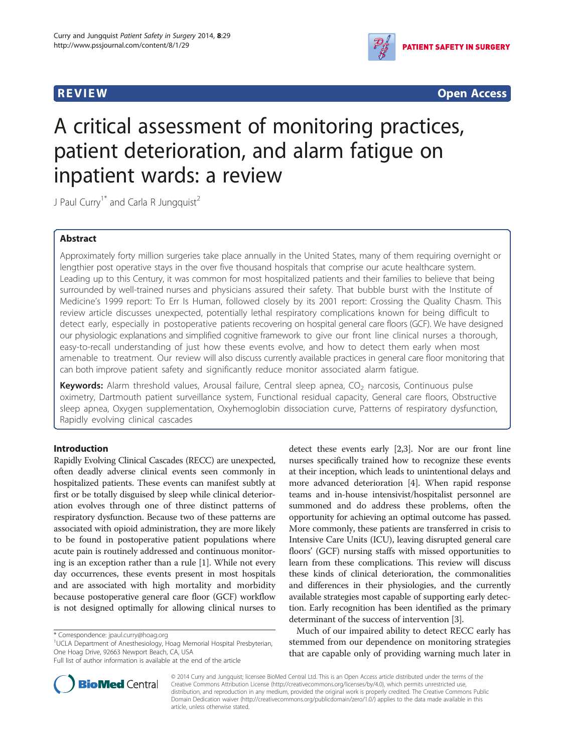

**REVIEW REVIEW** *REVIEW* 

# A critical assessment of monitoring practices, patient deterioration, and alarm fatigue on inpatient wards: a review

J Paul Curry<sup>1\*</sup> and Carla R Jungquist<sup>2</sup>

# Abstract

Approximately forty million surgeries take place annually in the United States, many of them requiring overnight or lengthier post operative stays in the over five thousand hospitals that comprise our acute healthcare system. Leading up to this Century, it was common for most hospitalized patients and their families to believe that being surrounded by well-trained nurses and physicians assured their safety. That bubble burst with the Institute of Medicine's 1999 report: To Err Is Human, followed closely by its 2001 report: Crossing the Quality Chasm. This review article discusses unexpected, potentially lethal respiratory complications known for being difficult to detect early, especially in postoperative patients recovering on hospital general care floors (GCF). We have designed our physiologic explanations and simplified cognitive framework to give our front line clinical nurses a thorough, easy-to-recall understanding of just how these events evolve, and how to detect them early when most amenable to treatment. Our review will also discuss currently available practices in general care floor monitoring that can both improve patient safety and significantly reduce monitor associated alarm fatigue.

Keywords: Alarm threshold values, Arousal failure, Central sleep apnea, CO<sub>2</sub> narcosis, Continuous pulse oximetry, Dartmouth patient surveillance system, Functional residual capacity, General care floors, Obstructive sleep apnea, Oxygen supplementation, Oxyhemoglobin dissociation curve, Patterns of respiratory dysfunction, Rapidly evolving clinical cascades

# Introduction

Rapidly Evolving Clinical Cascades (RECC) are unexpected, often deadly adverse clinical events seen commonly in hospitalized patients. These events can manifest subtly at first or be totally disguised by sleep while clinical deterioration evolves through one of three distinct patterns of respiratory dysfunction. Because two of these patterns are associated with opioid administration, they are more likely to be found in postoperative patient populations where acute pain is routinely addressed and continuous monitoring is an exception rather than a rule [[1](#page-17-0)]. While not every day occurrences, these events present in most hospitals and are associated with high mortality and morbidity because postoperative general care floor (GCF) workflow is not designed optimally for allowing clinical nurses to

<sup>1</sup>UCLA Department of Anesthesiology, Hoag Memorial Hospital Presbyterian, One Hoag Drive, 92663 Newport Beach, CA, USA



Much of our impaired ability to detect RECC early has stemmed from our dependence on monitoring strategies that are capable only of providing warning much later in



© 2014 Curry and Jungquist; licensee BioMed Central Ltd. This is an Open Access article distributed under the terms of the Creative Commons Attribution License (<http://creativecommons.org/licenses/by/4.0>), which permits unrestricted use, distribution, and reproduction in any medium, provided the original work is properly credited. The Creative Commons Public Domain Dedication waiver [\(http://creativecommons.org/publicdomain/zero/1.0/\)](http://creativecommons.org/publicdomain/zero/1.0/) applies to the data made available in this article, unless otherwise stated.

<sup>\*</sup> Correspondence: [jpaul.curry@hoag.org](mailto:jpaul.curry@hoag.org) <sup>1</sup>

Full list of author information is available at the end of the article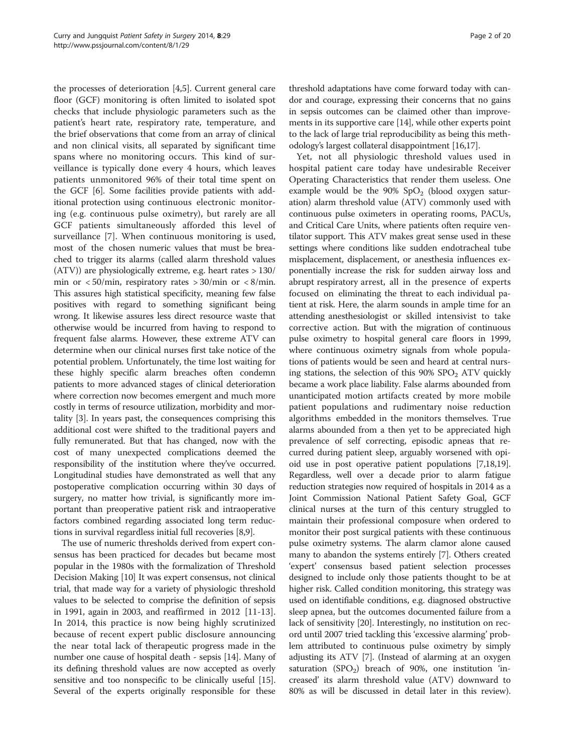the processes of deterioration [[4,](#page-17-0)[5\]](#page-18-0). Current general care floor (GCF) monitoring is often limited to isolated spot checks that include physiologic parameters such as the patient's heart rate, respiratory rate, temperature, and the brief observations that come from an array of clinical and non clinical visits, all separated by significant time spans where no monitoring occurs. This kind of surveillance is typically done every 4 hours, which leaves patients unmonitored 96% of their total time spent on the GCF [[6\]](#page-18-0). Some facilities provide patients with additional protection using continuous electronic monitoring (e.g. continuous pulse oximetry), but rarely are all GCF patients simultaneously afforded this level of surveillance [\[7](#page-18-0)]. When continuous monitoring is used, most of the chosen numeric values that must be breached to trigger its alarms (called alarm threshold values (ATV)) are physiologically extreme, e.g. heart rates > 130/ min or  $<$  50/min, respiratory rates  $>$  30/min or  $<$  8/min. This assures high statistical specificity, meaning few false positives with regard to something significant being wrong. It likewise assures less direct resource waste that otherwise would be incurred from having to respond to frequent false alarms. However, these extreme ATV can determine when our clinical nurses first take notice of the potential problem. Unfortunately, the time lost waiting for these highly specific alarm breaches often condemn patients to more advanced stages of clinical deterioration where correction now becomes emergent and much more costly in terms of resource utilization, morbidity and mortality [[3\]](#page-17-0). In years past, the consequences comprising this additional cost were shifted to the traditional payers and fully remunerated. But that has changed, now with the cost of many unexpected complications deemed the responsibility of the institution where they've occurred. Longitudinal studies have demonstrated as well that any postoperative complication occurring within 30 days of surgery, no matter how trivial, is significantly more important than preoperative patient risk and intraoperative factors combined regarding associated long term reductions in survival regardless initial full recoveries [[8,9\]](#page-18-0).

The use of numeric thresholds derived from expert consensus has been practiced for decades but became most popular in the 1980s with the formalization of Threshold Decision Making [[10](#page-18-0)] It was expert consensus, not clinical trial, that made way for a variety of physiologic threshold values to be selected to comprise the definition of sepsis in 1991, again in 2003, and reaffirmed in 2012 [\[11-13](#page-18-0)]. In 2014, this practice is now being highly scrutinized because of recent expert public disclosure announcing the near total lack of therapeutic progress made in the number one cause of hospital death - sepsis [\[14\]](#page-18-0). Many of its defining threshold values are now accepted as overly sensitive and too nonspecific to be clinically useful [[15](#page-18-0)]. Several of the experts originally responsible for these

threshold adaptations have come forward today with candor and courage, expressing their concerns that no gains in sepsis outcomes can be claimed other than improvements in its supportive care [\[14\]](#page-18-0), while other experts point to the lack of large trial reproducibility as being this methodology's largest collateral disappointment [[16](#page-18-0),[17](#page-18-0)].

Yet, not all physiologic threshold values used in hospital patient care today have undesirable Receiver Operating Characteristics that render them useless. One example would be the 90%  $SpO<sub>2</sub>$  (blood oxygen saturation) alarm threshold value (ATV) commonly used with continuous pulse oximeters in operating rooms, PACUs, and Critical Care Units, where patients often require ventilator support. This ATV makes great sense used in these settings where conditions like sudden endotracheal tube misplacement, displacement, or anesthesia influences exponentially increase the risk for sudden airway loss and abrupt respiratory arrest, all in the presence of experts focused on eliminating the threat to each individual patient at risk. Here, the alarm sounds in ample time for an attending anesthesiologist or skilled intensivist to take corrective action. But with the migration of continuous pulse oximetry to hospital general care floors in 1999, where continuous oximetry signals from whole populations of patients would be seen and heard at central nursing stations, the selection of this  $90\%$  SPO<sub>2</sub> ATV quickly became a work place liability. False alarms abounded from unanticipated motion artifacts created by more mobile patient populations and rudimentary noise reduction algorithms embedded in the monitors themselves. True alarms abounded from a then yet to be appreciated high prevalence of self correcting, episodic apneas that recurred during patient sleep, arguably worsened with opioid use in post operative patient populations [\[7,18,19](#page-18-0)]. Regardless, well over a decade prior to alarm fatigue reduction strategies now required of hospitals in 2014 as a Joint Commission National Patient Safety Goal, GCF clinical nurses at the turn of this century struggled to maintain their professional composure when ordered to monitor their post surgical patients with these continuous pulse oximetry systems. The alarm clamor alone caused many to abandon the systems entirely [\[7](#page-18-0)]. Others created 'expert' consensus based patient selection processes designed to include only those patients thought to be at higher risk. Called condition monitoring, this strategy was used on identifiable conditions, e.g. diagnosed obstructive sleep apnea, but the outcomes documented failure from a lack of sensitivity [[20](#page-18-0)]. Interestingly, no institution on record until 2007 tried tackling this 'excessive alarming' problem attributed to continuous pulse oximetry by simply adjusting its ATV [[7\]](#page-18-0). (Instead of alarming at an oxygen saturation (SPO<sub>2</sub>) breach of 90%, one institution 'increased' its alarm threshold value (ATV) downward to 80% as will be discussed in detail later in this review).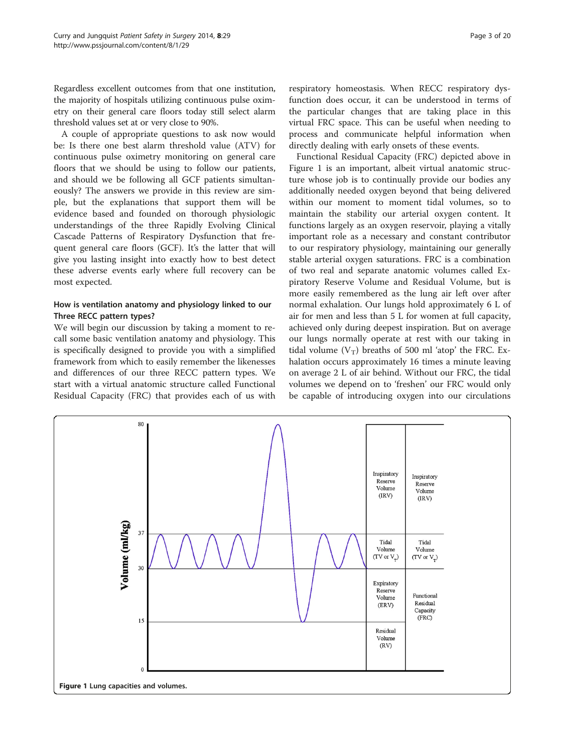Regardless excellent outcomes from that one institution, the majority of hospitals utilizing continuous pulse oximetry on their general care floors today still select alarm threshold values set at or very close to 90%.

A couple of appropriate questions to ask now would be: Is there one best alarm threshold value (ATV) for continuous pulse oximetry monitoring on general care floors that we should be using to follow our patients, and should we be following all GCF patients simultaneously? The answers we provide in this review are simple, but the explanations that support them will be evidence based and founded on thorough physiologic understandings of the three Rapidly Evolving Clinical Cascade Patterns of Respiratory Dysfunction that frequent general care floors (GCF). It's the latter that will give you lasting insight into exactly how to best detect these adverse events early where full recovery can be most expected.

# How is ventilation anatomy and physiology linked to our Three RECC pattern types?

We will begin our discussion by taking a moment to recall some basic ventilation anatomy and physiology. This is specifically designed to provide you with a simplified framework from which to easily remember the likenesses and differences of our three RECC pattern types. We start with a virtual anatomic structure called Functional Residual Capacity (FRC) that provides each of us with respiratory homeostasis. When RECC respiratory dysfunction does occur, it can be understood in terms of the particular changes that are taking place in this virtual FRC space. This can be useful when needing to process and communicate helpful information when directly dealing with early onsets of these events.

Functional Residual Capacity (FRC) depicted above in Figure 1 is an important, albeit virtual anatomic structure whose job is to continually provide our bodies any additionally needed oxygen beyond that being delivered within our moment to moment tidal volumes, so to maintain the stability our arterial oxygen content. It functions largely as an oxygen reservoir, playing a vitally important role as a necessary and constant contributor to our respiratory physiology, maintaining our generally stable arterial oxygen saturations. FRC is a combination of two real and separate anatomic volumes called Expiratory Reserve Volume and Residual Volume, but is more easily remembered as the lung air left over after normal exhalation. Our lungs hold approximately 6 L of air for men and less than 5 L for women at full capacity, achieved only during deepest inspiration. But on average our lungs normally operate at rest with our taking in tidal volume  $(V_T)$  breaths of 500 ml 'atop' the FRC. Exhalation occurs approximately 16 times a minute leaving on average 2 L of air behind. Without our FRC, the tidal volumes we depend on to 'freshen' our FRC would only be capable of introducing oxygen into our circulations

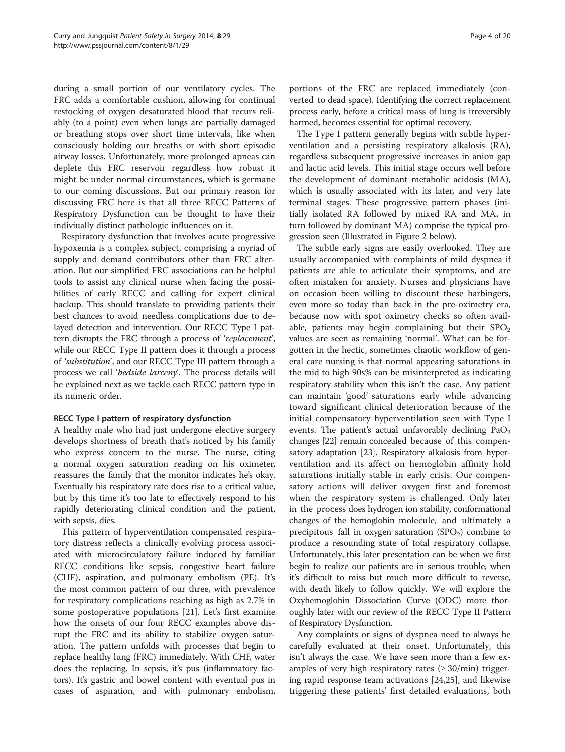during a small portion of our ventilatory cycles. The FRC adds a comfortable cushion, allowing for continual restocking of oxygen desaturated blood that recurs reliably (to a point) even when lungs are partially damaged or breathing stops over short time intervals, like when consciously holding our breaths or with short episodic airway losses. Unfortunately, more prolonged apneas can deplete this FRC reservoir regardless how robust it might be under normal circumstances, which is germane to our coming discussions. But our primary reason for discussing FRC here is that all three RECC Patterns of Respiratory Dysfunction can be thought to have their indiviually distinct pathologic influences on it.

Respiratory dysfunction that involves acute progressive hypoxemia is a complex subject, comprising a myriad of supply and demand contributors other than FRC alteration. But our simplified FRC associations can be helpful tools to assist any clinical nurse when facing the possibilities of early RECC and calling for expert clinical backup. This should translate to providing patients their best chances to avoid needless complications due to delayed detection and intervention. Our RECC Type I pattern disrupts the FRC through a process of 'replacement', while our RECC Type II pattern does it through a process of 'substitution', and our RECC Type III pattern through a process we call 'bedside larceny'. The process details will be explained next as we tackle each RECC pattern type in its numeric order.

#### RECC Type I pattern of respiratory dysfunction

A healthy male who had just undergone elective surgery develops shortness of breath that's noticed by his family who express concern to the nurse. The nurse, citing a normal oxygen saturation reading on his oximeter, reassures the family that the monitor indicates he's okay. Eventually his respiratory rate does rise to a critical value, but by this time it's too late to effectively respond to his rapidly deteriorating clinical condition and the patient, with sepsis, dies.

This pattern of hyperventilation compensated respiratory distress reflects a clinically evolving process associated with microcirculatory failure induced by familiar RECC conditions like sepsis, congestive heart failure (CHF), aspiration, and pulmonary embolism (PE). It's the most common pattern of our three, with prevalence for respiratory complications reaching as high as 2.7% in some postoperative populations [\[21](#page-18-0)]. Let's first examine how the onsets of our four RECC examples above disrupt the FRC and its ability to stabilize oxygen saturation. The pattern unfolds with processes that begin to replace healthy lung (FRC) immediately. With CHF, water does the replacing. In sepsis, it's pus (inflammatory factors). It's gastric and bowel content with eventual pus in cases of aspiration, and with pulmonary embolism,

portions of the FRC are replaced immediately (converted to dead space). Identifying the correct replacement process early, before a critical mass of lung is irreversibly harmed, becomes essential for optimal recovery.

The Type I pattern generally begins with subtle hyperventilation and a persisting respiratory alkalosis (RA), regardless subsequent progressive increases in anion gap and lactic acid levels. This initial stage occurs well before the development of dominant metabolic acidosis (MA), which is usually associated with its later, and very late terminal stages. These progressive pattern phases (initially isolated RA followed by mixed RA and MA, in turn followed by dominant MA) comprise the typical progression seen (Illustrated in Figure [2](#page-4-0) below).

The subtle early signs are easily overlooked. They are usually accompanied with complaints of mild dyspnea if patients are able to articulate their symptoms, and are often mistaken for anxiety. Nurses and physicians have on occasion been willing to discount these harbingers, even more so today than back in the pre-oximetry era, because now with spot oximetry checks so often available, patients may begin complaining but their  $SPO<sub>2</sub>$ values are seen as remaining 'normal'. What can be forgotten in the hectic, sometimes chaotic workflow of general care nursing is that normal appearing saturations in the mid to high 90s% can be misinterpreted as indicating respiratory stability when this isn't the case. Any patient can maintain 'good' saturations early while advancing toward significant clinical deterioration because of the initial compensatory hyperventilation seen with Type I events. The patient's actual unfavorably declining  $PaO<sub>2</sub>$ changes [[22](#page-18-0)] remain concealed because of this compensatory adaptation [\[23\]](#page-18-0). Respiratory alkalosis from hyperventilation and its affect on hemoglobin affinity hold saturations initially stable in early crisis. Our compensatory actions will deliver oxygen first and foremost when the respiratory system is challenged. Only later in the process does hydrogen ion stability, conformational changes of the hemoglobin molecule, and ultimately a precipitous fall in oxygen saturation  $(SPO<sub>2</sub>)$  combine to produce a resounding state of total respiratory collapse. Unfortunately, this later presentation can be when we first begin to realize our patients are in serious trouble, when it's difficult to miss but much more difficult to reverse, with death likely to follow quickly. We will explore the Oxyhemoglobin Dissociation Curve (ODC) more thoroughly later with our review of the RECC Type II Pattern of Respiratory Dysfunction.

Any complaints or signs of dyspnea need to always be carefully evaluated at their onset. Unfortunately, this isn't always the case. We have seen more than a few examples of very high respiratory rates  $(≥ 30/min)$  triggering rapid response team activations [[24,25\]](#page-18-0), and likewise triggering these patients' first detailed evaluations, both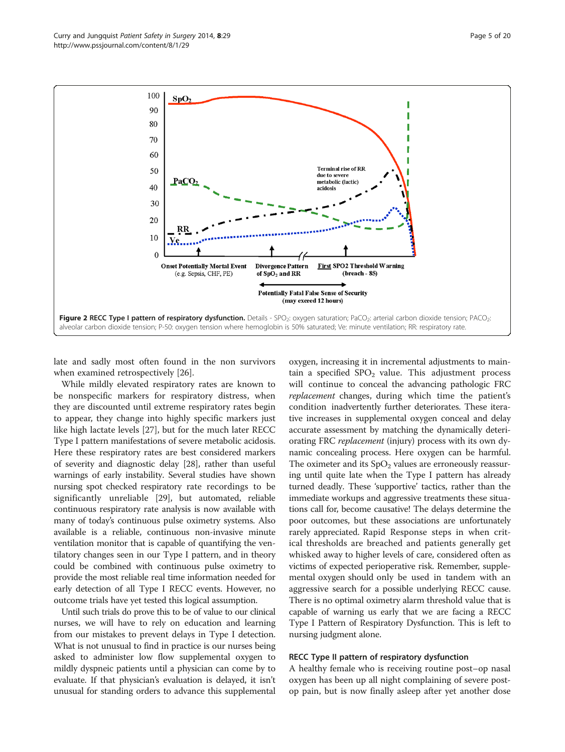late and sadly most often found in the non survivors when examined retrospectively [[26](#page-18-0)].

While mildly elevated respiratory rates are known to be nonspecific markers for respiratory distress, when they are discounted until extreme respiratory rates begin to appear, they change into highly specific markers just like high lactate levels [[27\]](#page-18-0), but for the much later RECC Type I pattern manifestations of severe metabolic acidosis. Here these respiratory rates are best considered markers of severity and diagnostic delay [\[28\]](#page-18-0), rather than useful warnings of early instability. Several studies have shown nursing spot checked respiratory rate recordings to be significantly unreliable [[29\]](#page-18-0), but automated, reliable continuous respiratory rate analysis is now available with many of today's continuous pulse oximetry systems. Also available is a reliable, continuous non-invasive minute ventilation monitor that is capable of quantifying the ventilatory changes seen in our Type I pattern, and in theory could be combined with continuous pulse oximetry to provide the most reliable real time information needed for early detection of all Type I RECC events. However, no outcome trials have yet tested this logical assumption.

Until such trials do prove this to be of value to our clinical nurses, we will have to rely on education and learning from our mistakes to prevent delays in Type I detection. What is not unusual to find in practice is our nurses being asked to administer low flow supplemental oxygen to mildly dyspneic patients until a physician can come by to evaluate. If that physician's evaluation is delayed, it isn't unusual for standing orders to advance this supplemental oxygen, increasing it in incremental adjustments to maintain a specified  $SPO<sub>2</sub>$  value. This adjustment process will continue to conceal the advancing pathologic FRC replacement changes, during which time the patient's condition inadvertently further deteriorates. These iterative increases in supplemental oxygen conceal and delay accurate assessment by matching the dynamically deteriorating FRC replacement (injury) process with its own dynamic concealing process. Here oxygen can be harmful. The oximeter and its  $SpO<sub>2</sub>$  values are erroneously reassuring until quite late when the Type I pattern has already turned deadly. These 'supportive' tactics, rather than the immediate workups and aggressive treatments these situations call for, become causative! The delays determine the poor outcomes, but these associations are unfortunately rarely appreciated. Rapid Response steps in when critical thresholds are breached and patients generally get whisked away to higher levels of care, considered often as victims of expected perioperative risk. Remember, supplemental oxygen should only be used in tandem with an aggressive search for a possible underlying RECC cause. There is no optimal oximetry alarm threshold value that is capable of warning us early that we are facing a RECC Type I Pattern of Respiratory Dysfunction. This is left to nursing judgment alone.

#### RECC Type II pattern of respiratory dysfunction

A healthy female who is receiving routine post–op nasal oxygen has been up all night complaining of severe postop pain, but is now finally asleep after yet another dose

<span id="page-4-0"></span>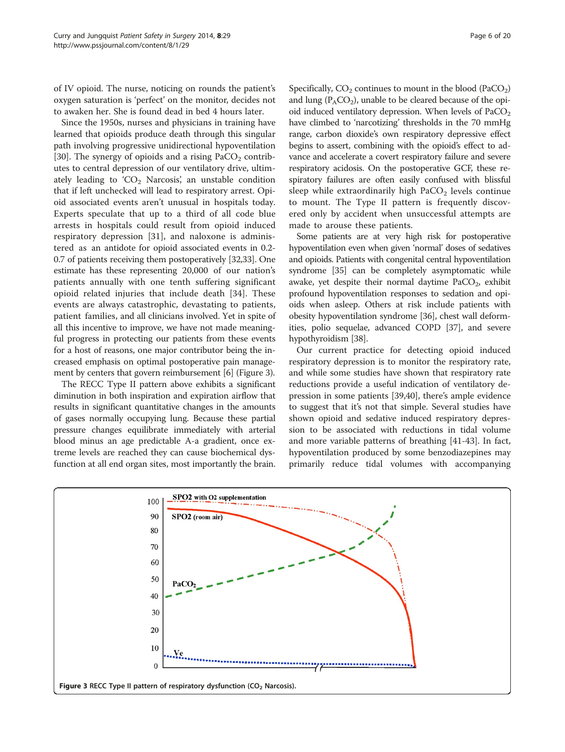of IV opioid. The nurse, noticing on rounds the patient's oxygen saturation is 'perfect' on the monitor, decides not to awaken her. She is found dead in bed 4 hours later.

Since the 1950s, nurses and physicians in training have learned that opioids produce death through this singular path involving progressive unidirectional hypoventilation [[30\]](#page-18-0). The synergy of opioids and a rising  $PaCO<sub>2</sub>$  contributes to central depression of our ventilatory drive, ultimately leading to ' $CO<sub>2</sub>$  Narcosis', an unstable condition that if left unchecked will lead to respiratory arrest. Opioid associated events aren't unusual in hospitals today. Experts speculate that up to a third of all code blue arrests in hospitals could result from opioid induced respiratory depression [\[31](#page-18-0)], and naloxone is administered as an antidote for opioid associated events in 0.2- 0.7 of patients receiving them postoperatively [\[32,33](#page-18-0)]. One estimate has these representing 20,000 of our nation's patients annually with one tenth suffering significant opioid related injuries that include death [\[34](#page-18-0)]. These events are always catastrophic, devastating to patients, patient families, and all clinicians involved. Yet in spite of all this incentive to improve, we have not made meaningful progress in protecting our patients from these events for a host of reasons, one major contributor being the increased emphasis on optimal postoperative pain management by centers that govern reimbursement [\[6](#page-18-0)] (Figure 3).

The RECC Type II pattern above exhibits a significant diminution in both inspiration and expiration airflow that results in significant quantitative changes in the amounts of gases normally occupying lung. Because these partial pressure changes equilibrate immediately with arterial blood minus an age predictable A-a gradient, once extreme levels are reached they can cause biochemical dysfunction at all end organ sites, most importantly the brain. Specifically,  $CO_2$  continues to mount in the blood (PaCO<sub>2</sub>) and lung  $(P_ACO_2)$ , unable to be cleared because of the opioid induced ventilatory depression. When levels of  $PaCO<sub>2</sub>$ have climbed to 'narcotizing' thresholds in the 70 mmHg range, carbon dioxide's own respiratory depressive effect begins to assert, combining with the opioid's effect to advance and accelerate a covert respiratory failure and severe respiratory acidosis. On the postoperative GCF, these respiratory failures are often easily confused with blissful sleep while extraordinarily high  $PaCO<sub>2</sub>$  levels continue to mount. The Type II pattern is frequently discovered only by accident when unsuccessful attempts are made to arouse these patients.

Some patients are at very high risk for postoperative hypoventilation even when given 'normal' doses of sedatives and opioids. Patients with congenital central hypoventilation syndrome [\[35\]](#page-18-0) can be completely asymptomatic while awake, yet despite their normal daytime  $PaCO<sub>2</sub>$ , exhibit profound hypoventilation responses to sedation and opioids when asleep. Others at risk include patients with obesity hypoventilation syndrome [[36\]](#page-18-0), chest wall deformities, polio sequelae, advanced COPD [\[37\]](#page-18-0), and severe hypothyroidism [\[38\]](#page-18-0).

Our current practice for detecting opioid induced respiratory depression is to monitor the respiratory rate, and while some studies have shown that respiratory rate reductions provide a useful indication of ventilatory depression in some patients [[39,40\]](#page-18-0), there's ample evidence to suggest that it's not that simple. Several studies have shown opioid and sedative induced respiratory depression to be associated with reductions in tidal volume and more variable patterns of breathing [\[41](#page-18-0)-[43](#page-18-0)]. In fact, hypoventilation produced by some benzodiazepines may primarily reduce tidal volumes with accompanying

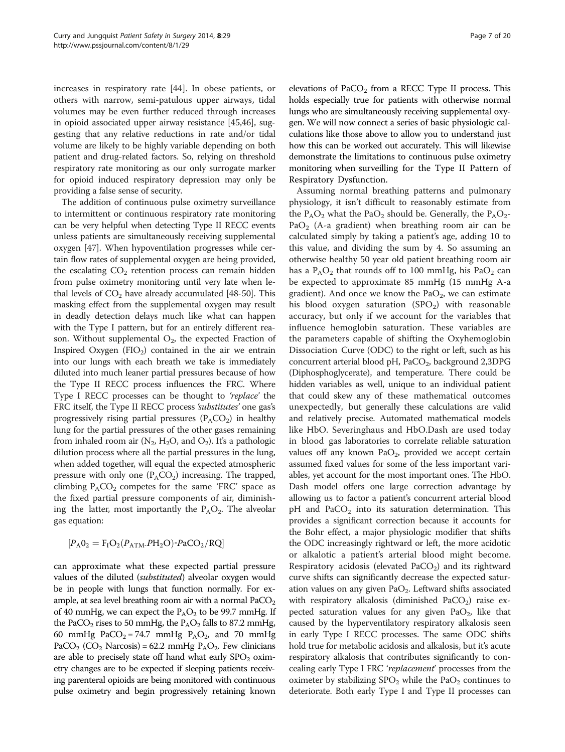increases in respiratory rate [\[44](#page-18-0)]. In obese patients, or others with narrow, semi-patulous upper airways, tidal volumes may be even further reduced through increases in opioid associated upper airway resistance [\[45,46\]](#page-18-0), suggesting that any relative reductions in rate and/or tidal volume are likely to be highly variable depending on both patient and drug-related factors. So, relying on threshold respiratory rate monitoring as our only surrogate marker for opioid induced respiratory depression may only be providing a false sense of security.

The addition of continuous pulse oximetry surveillance to intermittent or continuous respiratory rate monitoring can be very helpful when detecting Type II RECC events unless patients are simultaneously receiving supplemental oxygen [[47](#page-18-0)]. When hypoventilation progresses while certain flow rates of supplemental oxygen are being provided, the escalating  $CO<sub>2</sub>$  retention process can remain hidden from pulse oximetry monitoring until very late when lethal levels of  $CO<sub>2</sub>$  have already accumulated [[48](#page-18-0)-[50](#page-18-0)]. This masking effect from the supplemental oxygen may result in deadly detection delays much like what can happen with the Type I pattern, but for an entirely different reason. Without supplemental  $O_2$ , the expected Fraction of Inspired Oxygen  $(FIO_2)$  contained in the air we entrain into our lungs with each breath we take is immediately diluted into much leaner partial pressures because of how the Type II RECC process influences the FRC. Where Type I RECC processes can be thought to 'replace' the FRC itself, the Type II RECC process 'substitutes' one gas's progressively rising partial pressures  $(P_ACO_2)$  in healthy lung for the partial pressures of the other gases remaining from inhaled room air  $(N_2, H_2O,$  and  $O_2)$ . It's a pathologic dilution process where all the partial pressures in the lung, when added together, will equal the expected atmospheric pressure with only one  $(P_ACO_2)$  increasing. The trapped, climbing  $P_ACO_2$  competes for the same 'FRC' space as the fixed partial pressure components of air, diminishing the latter, most importantly the  $P_AO_2$ . The alveolar gas equation:

$$
[P_AO_2=F_IO_2(P_{ATM}.PH_2O)\text{-}PaCO_2/RQ]
$$

can approximate what these expected partial pressure values of the diluted (*substituted*) alveolar oxygen would be in people with lungs that function normally. For example, at sea level breathing room air with a normal  $PaCO<sub>2</sub>$ of 40 mmHg, we can expect the  $P_AO_2$  to be 99.7 mmHg. If the PaCO<sub>2</sub> rises to 50 mmHg, the  $P_AO_2$  falls to 87.2 mmHg, 60 mmHg PaCO<sub>2</sub> = 74.7 mmHg P<sub>A</sub>O<sub>2</sub>, and 70 mmHg PaCO<sub>2</sub> (CO<sub>2</sub> Narcosis) = 62.2 mmHg  $P_AO_2$ . Few clinicians are able to precisely state off hand what early  $SPO<sub>2</sub>$  oximetry changes are to be expected if sleeping patients receiving parenteral opioids are being monitored with continuous pulse oximetry and begin progressively retaining known

elevations of  $PaCO<sub>2</sub>$  from a RECC Type II process. This holds especially true for patients with otherwise normal lungs who are simultaneously receiving supplemental oxygen. We will now connect a series of basic physiologic calculations like those above to allow you to understand just how this can be worked out accurately. This will likewise demonstrate the limitations to continuous pulse oximetry monitoring when surveilling for the Type II Pattern of Respiratory Dysfunction.

Assuming normal breathing patterns and pulmonary physiology, it isn't difficult to reasonably estimate from the  $P_AO_2$  what the PaO<sub>2</sub> should be. Generally, the  $P_AO_2$ - $PaO<sub>2</sub>$  (A-a gradient) when breathing room air can be calculated simply by taking a patient's age, adding 10 to this value, and dividing the sum by 4. So assuming an otherwise healthy 50 year old patient breathing room air has a  $P_AO_2$  that rounds off to 100 mmHg, his  $PaO_2$  can be expected to approximate 85 mmHg (15 mmHg A-a gradient). And once we know the  $PaO<sub>2</sub>$ , we can estimate his blood oxygen saturation  $(SPO<sub>2</sub>)$  with reasonable accuracy, but only if we account for the variables that influence hemoglobin saturation. These variables are the parameters capable of shifting the Oxyhemoglobin Dissociation Curve (ODC) to the right or left, such as his concurrent arterial blood pH, PaCO<sub>2</sub>, background 2,3DPG (Diphosphoglycerate), and temperature. There could be hidden variables as well, unique to an individual patient that could skew any of these mathematical outcomes unexpectedly, but generally these calculations are valid and relatively precise. Automated mathematical models like HbO. Severinghaus and HbO.Dash are used today in blood gas laboratories to correlate reliable saturation values off any known  $PaO<sub>2</sub>$ , provided we accept certain assumed fixed values for some of the less important variables, yet account for the most important ones. The HbO. Dash model offers one large correction advantage by allowing us to factor a patient's concurrent arterial blood  $pH$  and  $PaCO<sub>2</sub>$  into its saturation determination. This provides a significant correction because it accounts for the Bohr effect, a major physiologic modifier that shifts the ODC increasingly rightward or left, the more acidotic or alkalotic a patient's arterial blood might become. Respiratory acidosis (elevated  $PaCO<sub>2</sub>$ ) and its rightward curve shifts can significantly decrease the expected saturation values on any given  $PaO<sub>2</sub>$ . Leftward shifts associated with respiratory alkalosis (diminished  $PaCO<sub>2</sub>$ ) raise expected saturation values for any given  $PaO<sub>2</sub>$ , like that caused by the hyperventilatory respiratory alkalosis seen in early Type I RECC processes. The same ODC shifts hold true for metabolic acidosis and alkalosis, but it's acute respiratory alkalosis that contributes significantly to concealing early Type I FRC *'replacement'* processes from the oximeter by stabilizing  $SPO<sub>2</sub>$  while the PaO<sub>2</sub> continues to deteriorate. Both early Type I and Type II processes can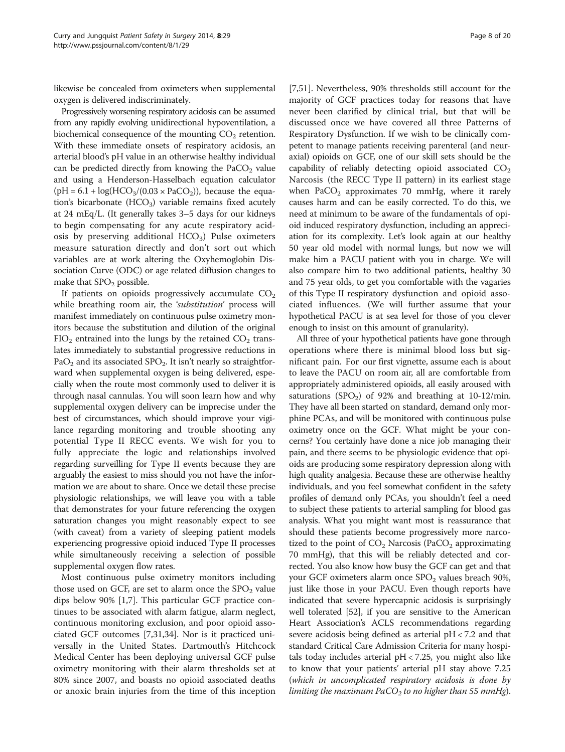likewise be concealed from oximeters when supplemental oxygen is delivered indiscriminately.

Progressively worsening respiratory acidosis can be assumed from any rapidly evolving unidirectional hypoventilation, a biochemical consequence of the mounting  $CO<sub>2</sub>$  retention. With these immediate onsets of respiratory acidosis, an arterial blood's pH value in an otherwise healthy individual can be predicted directly from knowing the  $PaCO<sub>2</sub>$  value and using a Henderson-Hasselbach equation calculator  $(pH = 6.1 + log(HCO<sub>3</sub>/(0.03 \times PaCO<sub>2</sub>)),$  because the equation's bicarbonate  $(HCO<sub>3</sub>)$  variable remains fixed acutely at 24 mEq/L. (It generally takes 3–5 days for our kidneys to begin compensating for any acute respiratory acidosis by preserving additional  $HCO<sub>3</sub>$ ) Pulse oximeters measure saturation directly and don't sort out which variables are at work altering the Oxyhemoglobin Dissociation Curve (ODC) or age related diffusion changes to make that SPO<sub>2</sub> possible.

If patients on opioids progressively accumulate  $CO<sub>2</sub>$ while breathing room air, the 'substitution' process will manifest immediately on continuous pulse oximetry monitors because the substitution and dilution of the original  $FIO<sub>2</sub>$  entrained into the lungs by the retained  $CO<sub>2</sub>$  translates immediately to substantial progressive reductions in  $PaO<sub>2</sub>$  and its associated SPO<sub>2</sub>. It isn't nearly so straightforward when supplemental oxygen is being delivered, especially when the route most commonly used to deliver it is through nasal cannulas. You will soon learn how and why supplemental oxygen delivery can be imprecise under the best of circumstances, which should improve your vigilance regarding monitoring and trouble shooting any potential Type II RECC events. We wish for you to fully appreciate the logic and relationships involved regarding surveilling for Type II events because they are arguably the easiest to miss should you not have the information we are about to share. Once we detail these precise physiologic relationships, we will leave you with a table that demonstrates for your future referencing the oxygen saturation changes you might reasonably expect to see (with caveat) from a variety of sleeping patient models experiencing progressive opioid induced Type II processes while simultaneously receiving a selection of possible supplemental oxygen flow rates.

Most continuous pulse oximetry monitors including those used on GCF, are set to alarm once the  $SPO<sub>2</sub>$  value dips below 90% [[1,](#page-17-0)[7\]](#page-18-0). This particular GCF practice continues to be associated with alarm fatigue, alarm neglect, continuous monitoring exclusion, and poor opioid associated GCF outcomes [\[7,31,34](#page-18-0)]. Nor is it practiced universally in the United States. Dartmouth's Hitchcock Medical Center has been deploying universal GCF pulse oximetry monitoring with their alarm thresholds set at 80% since 2007, and boasts no opioid associated deaths or anoxic brain injuries from the time of this inception

[[7,51\]](#page-18-0). Nevertheless, 90% thresholds still account for the majority of GCF practices today for reasons that have never been clarified by clinical trial, but that will be discussed once we have covered all three Patterns of Respiratory Dysfunction. If we wish to be clinically competent to manage patients receiving parenteral (and neuraxial) opioids on GCF, one of our skill sets should be the capability of reliably detecting opioid associated  $CO<sub>2</sub>$ Narcosis (the RECC Type II pattern) in its earliest stage when  $PaCO<sub>2</sub>$  approximates 70 mmHg, where it rarely causes harm and can be easily corrected. To do this, we need at minimum to be aware of the fundamentals of opioid induced respiratory dysfunction, including an appreciation for its complexity. Let's look again at our healthy 50 year old model with normal lungs, but now we will make him a PACU patient with you in charge. We will also compare him to two additional patients, healthy 30 and 75 year olds, to get you comfortable with the vagaries of this Type II respiratory dysfunction and opioid associated influences. (We will further assume that your hypothetical PACU is at sea level for those of you clever enough to insist on this amount of granularity).

All three of your hypothetical patients have gone through operations where there is minimal blood loss but significant pain. For our first vignette, assume each is about to leave the PACU on room air, all are comfortable from appropriately administered opioids, all easily aroused with saturations (SPO<sub>2</sub>) of 92% and breathing at 10-12/min. They have all been started on standard, demand only morphine PCAs, and will be monitored with continuous pulse oximetry once on the GCF. What might be your concerns? You certainly have done a nice job managing their pain, and there seems to be physiologic evidence that opioids are producing some respiratory depression along with high quality analgesia. Because these are otherwise healthy individuals, and you feel somewhat confident in the safety profiles of demand only PCAs, you shouldn't feel a need to subject these patients to arterial sampling for blood gas analysis. What you might want most is reassurance that should these patients become progressively more narcotized to the point of  $CO_2$  Narcosis (PaCO<sub>2</sub> approximating 70 mmHg), that this will be reliably detected and corrected. You also know how busy the GCF can get and that your GCF oximeters alarm once  $SPO<sub>2</sub>$  values breach 90%, just like those in your PACU. Even though reports have indicated that severe hypercapnic acidosis is surprisingly well tolerated [[52](#page-18-0)], if you are sensitive to the American Heart Association's ACLS recommendations regarding severe acidosis being defined as arterial pH < 7.2 and that standard Critical Care Admission Criteria for many hospitals today includes arterial pH < 7.25, you might also like to know that your patients' arterial pH stay above 7.25 (which in uncomplicated respiratory acidosis is done by limiting the maximum  $PaCO<sub>2</sub>$  to no higher than 55 mmHg).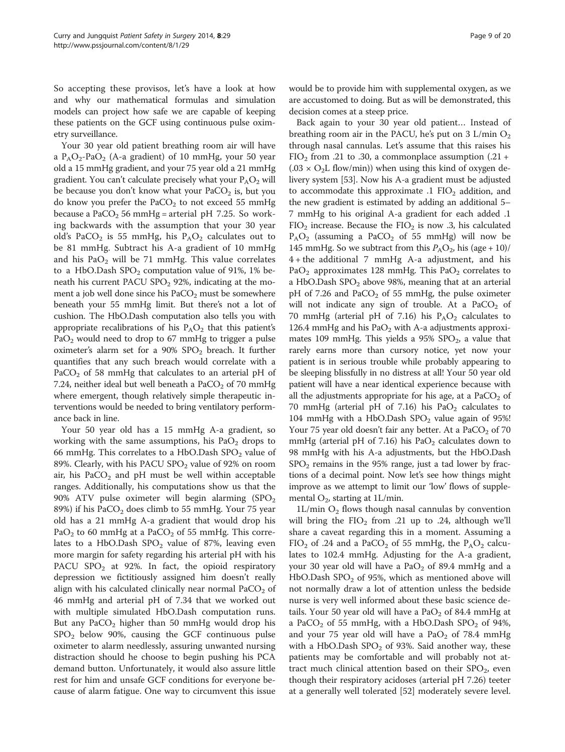So accepting these provisos, let's have a look at how and why our mathematical formulas and simulation models can project how safe we are capable of keeping these patients on the GCF using continuous pulse oximetry surveillance.

Your 30 year old patient breathing room air will have a  $P_AO_2$ -Pa $O_2$  (A-a gradient) of 10 mmHg, your 50 year old a 15 mmHg gradient, and your 75 year old a 21 mmHg gradient. You can't calculate precisely what your  $P_AO_2$  will be because you don't know what your  $PaCO<sub>2</sub>$  is, but you do know you prefer the  $PaCO<sub>2</sub>$  to not exceed 55 mmHg because a PaCO<sub>2</sub> 56 mmHg = arterial pH 7.25. So working backwards with the assumption that your 30 year old's PaCO<sub>2</sub> is 55 mmHg, his  $P_AO_2$  calculates out to be 81 mmHg. Subtract his A-a gradient of 10 mmHg and his  $PaO<sub>2</sub>$  will be 71 mmHg. This value correlates to a HbO.Dash  $SPO<sub>2</sub>$  computation value of 91%, 1% beneath his current PACU  $SPO<sub>2</sub>$  92%, indicating at the moment a job well done since his  $PaCO<sub>2</sub>$  must be somewhere beneath your 55 mmHg limit. But there's not a lot of cushion. The HbO.Dash computation also tells you with appropriate recalibrations of his  $P_AO_2$  that this patient's PaO<sub>2</sub> would need to drop to 67 mmHg to trigger a pulse oximeter's alarm set for a 90%  $SPO<sub>2</sub>$  breach. It further quantifies that any such breach would correlate with a PaCO<sub>2</sub> of 58 mmHg that calculates to an arterial pH of 7.24, neither ideal but well beneath a  $PaCO<sub>2</sub>$  of 70 mmHg where emergent, though relatively simple therapeutic interventions would be needed to bring ventilatory performance back in line.

Your 50 year old has a 15 mmHg A-a gradient, so working with the same assumptions, his  $PaO<sub>2</sub>$  drops to 66 mmHg. This correlates to a HbO.Dash  $SPO<sub>2</sub>$  value of 89%. Clearly, with his PACU SPO<sub>2</sub> value of 92% on room air, his PaCO<sub>2</sub> and pH must be well within acceptable ranges. Additionally, his computations show us that the 90% ATV pulse oximeter will begin alarming  $(SPO<sub>2</sub>)$ 89%) if his  $PaCO<sub>2</sub>$  does climb to 55 mmHg. Your 75 year old has a 21 mmHg A-a gradient that would drop his PaO<sub>2</sub> to 60 mmHg at a PaCO<sub>2</sub> of 55 mmHg. This correlates to a HbO.Dash  $SPO<sub>2</sub>$  value of 87%, leaving even more margin for safety regarding his arterial pH with his PACU SPO<sub>2</sub> at 92%. In fact, the opioid respiratory depression we fictitiously assigned him doesn't really align with his calculated clinically near normal  $PaCO<sub>2</sub>$  of 46 mmHg and arterial pH of 7.34 that we worked out with multiple simulated HbO.Dash computation runs. But any PaCO<sub>2</sub> higher than 50 mmHg would drop his SPO2 below 90%, causing the GCF continuous pulse oximeter to alarm needlessly, assuring unwanted nursing distraction should he choose to begin pushing his PCA demand button. Unfortunately, it would also assure little rest for him and unsafe GCF conditions for everyone because of alarm fatigue. One way to circumvent this issue

would be to provide him with supplemental oxygen, as we are accustomed to doing. But as will be demonstrated, this decision comes at a steep price.

Back again to your 30 year old patient… Instead of breathing room air in the PACU, he's put on 3 L/min  $O_2$ through nasal cannulas. Let's assume that this raises his FIO<sub>2</sub> from .21 to .30, a commonplace assumption  $(.21 +$  $(.03 \times O<sub>2</sub>L$  flow/min)) when using this kind of oxygen delivery system [\[53](#page-18-0)]. Now his A-a gradient must be adjusted to accommodate this approximate .1  $FIO<sub>2</sub>$  addition, and the new gradient is estimated by adding an additional 5– 7 mmHg to his original A-a gradient for each added .1 FIO<sub>2</sub> increase. Because the FIO<sub>2</sub> is now .3, his calculated  $P_AO_2$  (assuming a  $P_ACO_2$  of 55 mmHg) will now be 145 mmHg. So we subtract from this  $P_AO_2$ , his (age + 10)/ 4 + the additional 7 mmHg A-a adjustment, and his PaO<sub>2</sub> approximates 128 mmHg. This PaO<sub>2</sub> correlates to a HbO.Dash  $SPO<sub>2</sub>$  above 98%, meaning that at an arterial pH of 7.26 and PaCO<sub>2</sub> of 55 mmHg, the pulse oximeter will not indicate any sign of trouble. At a PaCO<sub>2</sub> of 70 mmHg (arterial pH of 7.16) his  $P_AO_2$  calculates to 126.4 mmHg and his  $PaO<sub>2</sub>$  with A-a adjustments approximates 109 mmHg. This yields a 95%  $SPO<sub>2</sub>$ , a value that rarely earns more than cursory notice, yet now your patient is in serious trouble while probably appearing to be sleeping blissfully in no distress at all! Your 50 year old patient will have a near identical experience because with all the adjustments appropriate for his age, at a  $PaCO<sub>2</sub>$  of 70 mmHg (arterial pH of 7.16) his  $PaO<sub>2</sub>$  calculates to 104 mmHg with a HbO.Dash  $SPO<sub>2</sub>$  value again of 95%! Your 75 year old doesn't fair any better. At a  $PaCO<sub>2</sub>$  of 70 mmHg (arterial pH of 7.16) his  $PaO<sub>2</sub>$  calculates down to 98 mmHg with his A-a adjustments, but the HbO.Dash  $SPO<sub>2</sub>$  remains in the 95% range, just a tad lower by fractions of a decimal point. Now let's see how things might improve as we attempt to limit our 'low' flows of supplemental  $O_2$ , starting at 1L/min.

 $1L/min O<sub>2</sub>$  flows though nasal cannulas by convention will bring the  $FIO<sub>2</sub>$  from .21 up to .24, although we'll share a caveat regarding this in a moment. Assuming a  $FIO<sub>2</sub>$  of .24 and a PaCO<sub>2</sub> of 55 mmHg, the P<sub>A</sub>O<sub>2</sub> calculates to 102.4 mmHg. Adjusting for the A-a gradient, your 30 year old will have a  $PaO<sub>2</sub>$  of 89.4 mmHg and a HbO.Dash  $\text{SPO}_2$  of 95%, which as mentioned above will not normally draw a lot of attention unless the bedside nurse is very well informed about these basic science details. Your 50 year old will have a Pa $O_2$  of 84.4 mmHg at a PaCO<sub>2</sub> of 55 mmHg, with a HbO.Dash SPO<sub>2</sub> of 94%, and your 75 year old will have a  $PaO<sub>2</sub>$  of 78.4 mmHg with a HbO.Dash  $SPO<sub>2</sub>$  of 93%. Said another way, these patients may be comfortable and will probably not attract much clinical attention based on their  $SPO<sub>2</sub>$ , even though their respiratory acidoses (arterial pH 7.26) teeter at a generally well tolerated [[52](#page-18-0)] moderately severe level.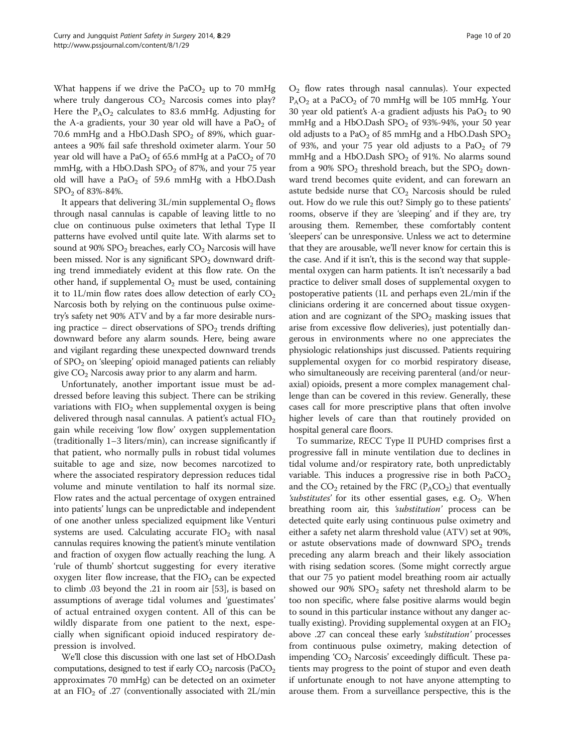What happens if we drive the  $PaCO<sub>2</sub>$  up to 70 mmHg where truly dangerous  $CO<sub>2</sub>$  Narcosis comes into play? Here the  $P_AO_2$  calculates to 83.6 mmHg. Adjusting for the A-a gradients, your 30 year old will have a  $PaO<sub>2</sub>$  of 70.6 mmHg and a HbO.Dash  $SPO<sub>2</sub>$  of 89%, which guarantees a 90% fail safe threshold oximeter alarm. Your 50 year old will have a  $PaO<sub>2</sub>$  of 65.6 mmHg at a  $PaCO<sub>2</sub>$  of 70 mmHg, with a HbO.Dash  $SPO<sub>2</sub>$  of 87%, and your 75 year old will have a PaO<sub>2</sub> of 59.6 mmHg with a HbO.Dash SPO2 of 83%-84%.

It appears that delivering  $3L/min$  supplemental  $O<sub>2</sub>$  flows through nasal cannulas is capable of leaving little to no clue on continuous pulse oximeters that lethal Type II patterns have evolved until quite late. With alarms set to sound at 90%  $SPO<sub>2</sub>$  breaches, early  $CO<sub>2</sub>$  Narcosis will have been missed. Nor is any significant  $SPO<sub>2</sub>$  downward drifting trend immediately evident at this flow rate. On the other hand, if supplemental  $O_2$  must be used, containing it to 1L/min flow rates does allow detection of early  $CO<sub>2</sub>$ Narcosis both by relying on the continuous pulse oximetry's safety net 90% ATV and by a far more desirable nursing practice – direct observations of  $SPO<sub>2</sub>$  trends drifting downward before any alarm sounds. Here, being aware and vigilant regarding these unexpected downward trends of SPO<sub>2</sub> on 'sleeping' opioid managed patients can reliably give  $CO<sub>2</sub>$  Narcosis away prior to any alarm and harm.

Unfortunately, another important issue must be addressed before leaving this subject. There can be striking variations with  $FIO<sub>2</sub>$  when supplemental oxygen is being delivered through nasal cannulas. A patient's actual  $FIO<sub>2</sub>$ gain while receiving 'low flow' oxygen supplementation (traditionally 1–3 liters/min), can increase significantly if that patient, who normally pulls in robust tidal volumes suitable to age and size, now becomes narcotized to where the associated respiratory depression reduces tidal volume and minute ventilation to half its normal size. Flow rates and the actual percentage of oxygen entrained into patients' lungs can be unpredictable and independent of one another unless specialized equipment like Venturi systems are used. Calculating accurate  $FIO<sub>2</sub>$  with nasal cannulas requires knowing the patient's minute ventilation and fraction of oxygen flow actually reaching the lung. A 'rule of thumb' shortcut suggesting for every iterative oxygen liter flow increase, that the  $FIO<sub>2</sub>$  can be expected to climb .03 beyond the .21 in room air [\[53\]](#page-18-0), is based on assumptions of average tidal volumes and 'guestimates' of actual entrained oxygen content. All of this can be wildly disparate from one patient to the next, especially when significant opioid induced respiratory depression is involved.

We'll close this discussion with one last set of HbO.Dash computations, designed to test if early  $CO<sub>2</sub>$  narcosis (PaCO<sub>2</sub>) approximates 70 mmHg) can be detected on an oximeter at an  $FIO<sub>2</sub>$  of .27 (conventionally associated with 2L/min

 $O<sub>2</sub>$  flow rates through nasal cannulas). Your expected  $P_AO_2$  at a PaCO<sub>2</sub> of 70 mmHg will be 105 mmHg. Your 30 year old patient's A-a gradient adjusts his  $PaO<sub>2</sub>$  to 90 mmHg and a HbO.Dash  $SPO<sub>2</sub>$  of 93%-94%, your 50 year old adjusts to a PaO<sub>2</sub> of 85 mmHg and a HbO.Dash  $SPO<sub>2</sub>$ of 93%, and your 75 year old adjusts to a  $PaO<sub>2</sub>$  of 79 mmHg and a HbO.Dash  $SPO<sub>2</sub>$  of 91%. No alarms sound from a 90%  $SPO<sub>2</sub>$  threshold breach, but the  $SPO<sub>2</sub>$  downward trend becomes quite evident, and can forewarn an astute bedside nurse that  $CO<sub>2</sub>$  Narcosis should be ruled out. How do we rule this out? Simply go to these patients' rooms, observe if they are 'sleeping' and if they are, try arousing them. Remember, these comfortably content 'sleepers' can be unresponsive. Unless we act to determine that they are arousable, we'll never know for certain this is the case. And if it isn't, this is the second way that supplemental oxygen can harm patients. It isn't necessarily a bad practice to deliver small doses of supplemental oxygen to postoperative patients (1L and perhaps even 2L/min if the clinicians ordering it are concerned about tissue oxygenation and are cognizant of the  $SPO<sub>2</sub>$  masking issues that arise from excessive flow deliveries), just potentially dangerous in environments where no one appreciates the physiologic relationships just discussed. Patients requiring supplemental oxygen for co morbid respiratory disease, who simultaneously are receiving parenteral (and/or neuraxial) opioids, present a more complex management challenge than can be covered in this review. Generally, these cases call for more prescriptive plans that often involve higher levels of care than that routinely provided on hospital general care floors.

To summarize, RECC Type II PUHD comprises first a progressive fall in minute ventilation due to declines in tidal volume and/or respiratory rate, both unpredictably variable. This induces a progressive rise in both  $PaCO<sub>2</sub>$ and the  $CO_2$  retained by the FRC ( $P_ACO_2$ ) that eventually 'substitutes' for its other essential gases, e.g.  $O_2$ . When breathing room air, this 'substitution' process can be detected quite early using continuous pulse oximetry and either a safety net alarm threshold value (ATV) set at 90%, or astute observations made of downward  $SPO<sub>2</sub>$  trends preceding any alarm breach and their likely association with rising sedation scores. (Some might correctly argue that our 75 yo patient model breathing room air actually showed our 90%  $SPO<sub>2</sub>$  safety net threshold alarm to be too non specific, where false positive alarms would begin to sound in this particular instance without any danger actually existing). Providing supplemental oxygen at an  $FIO<sub>2</sub>$ above .27 can conceal these early 'substitution' processes from continuous pulse oximetry, making detection of impending ' $CO<sub>2</sub>$  Narcosis' exceedingly difficult. These patients may progress to the point of stupor and even death if unfortunate enough to not have anyone attempting to arouse them. From a surveillance perspective, this is the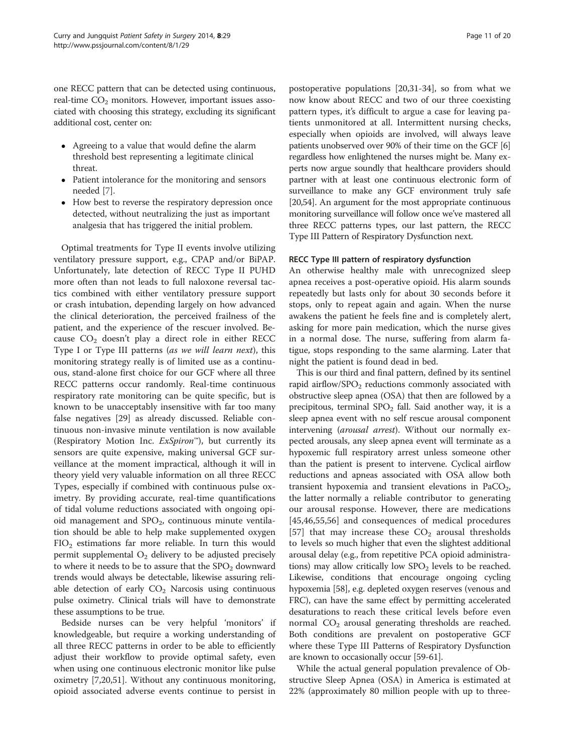one RECC pattern that can be detected using continuous, real-time  $CO<sub>2</sub>$  monitors. However, important issues associated with choosing this strategy, excluding its significant additional cost, center on:

- Agreeing to a value that would define the alarm threshold best representing a legitimate clinical threat.
- Patient intolerance for the monitoring and sensors needed [\[7](#page-18-0)].
- How best to reverse the respiratory depression once detected, without neutralizing the just as important analgesia that has triggered the initial problem.

Optimal treatments for Type II events involve utilizing ventilatory pressure support, e.g., CPAP and/or BiPAP. Unfortunately, late detection of RECC Type II PUHD more often than not leads to full naloxone reversal tactics combined with either ventilatory pressure support or crash intubation, depending largely on how advanced the clinical deterioration, the perceived frailness of the patient, and the experience of the rescuer involved. Because  $CO<sub>2</sub>$  doesn't play a direct role in either RECC Type I or Type III patterns (as we will learn next), this monitoring strategy really is of limited use as a continuous, stand-alone first choice for our GCF where all three RECC patterns occur randomly. Real-time continuous respiratory rate monitoring can be quite specific, but is known to be unacceptably insensitive with far too many false negatives [[29\]](#page-18-0) as already discussed. Reliable continuous non-invasive minute ventilation is now available (Respiratory Motion Inc.  $ExSpin^m$ ), but currently its sensors are quite expensive, making universal GCF surveillance at the moment impractical, although it will in theory yield very valuable information on all three RECC Types, especially if combined with continuous pulse oximetry. By providing accurate, real-time quantifications of tidal volume reductions associated with ongoing opioid management and  $SPO<sub>2</sub>$ , continuous minute ventilation should be able to help make supplemented oxygen  $FIO<sub>2</sub>$  estimations far more reliable. In turn this would permit supplemental  $O_2$  delivery to be adjusted precisely to where it needs to be to assure that the  $SPO<sub>2</sub>$  downward trends would always be detectable, likewise assuring reliable detection of early  $CO<sub>2</sub>$  Narcosis using continuous pulse oximetry. Clinical trials will have to demonstrate these assumptions to be true.

Bedside nurses can be very helpful 'monitors' if knowledgeable, but require a working understanding of all three RECC patterns in order to be able to efficiently adjust their workflow to provide optimal safety, even when using one continuous electronic monitor like pulse oximetry [[7,20,51\]](#page-18-0). Without any continuous monitoring, opioid associated adverse events continue to persist in

postoperative populations [[20,31-34\]](#page-18-0), so from what we now know about RECC and two of our three coexisting pattern types, it's difficult to argue a case for leaving patients unmonitored at all. Intermittent nursing checks, especially when opioids are involved, will always leave patients unobserved over 90% of their time on the GCF [[6](#page-18-0)] regardless how enlightened the nurses might be. Many experts now argue soundly that healthcare providers should partner with at least one continuous electronic form of surveillance to make any GCF environment truly safe [[20](#page-18-0)[,54\]](#page-19-0). An argument for the most appropriate continuous

monitoring surveillance will follow once we've mastered all three RECC patterns types, our last pattern, the RECC Type III Pattern of Respiratory Dysfunction next.

#### RECC Type III pattern of respiratory dysfunction

An otherwise healthy male with unrecognized sleep apnea receives a post-operative opioid. His alarm sounds repeatedly but lasts only for about 30 seconds before it stops, only to repeat again and again. When the nurse awakens the patient he feels fine and is completely alert, asking for more pain medication, which the nurse gives in a normal dose. The nurse, suffering from alarm fatigue, stops responding to the same alarming. Later that night the patient is found dead in bed.

This is our third and final pattern, defined by its sentinel rapid airflow/SPO<sub>2</sub> reductions commonly associated with obstructive sleep apnea (OSA) that then are followed by a precipitous, terminal  $SPO<sub>2</sub>$  fall. Said another way, it is a sleep apnea event with no self rescue arousal component intervening (arousal arrest). Without our normally expected arousals, any sleep apnea event will terminate as a hypoxemic full respiratory arrest unless someone other than the patient is present to intervene. Cyclical airflow reductions and apneas associated with OSA allow both transient hypoxemia and transient elevations in  $PaCO<sub>2</sub>$ , the latter normally a reliable contributor to generating our arousal response. However, there are medications [[45,46](#page-18-0)[,55](#page-19-0),[56\]](#page-19-0) and consequences of medical procedures [[57\]](#page-19-0) that may increase these  $CO<sub>2</sub>$  arousal thresholds to levels so much higher that even the slightest additional arousal delay (e.g., from repetitive PCA opioid administrations) may allow critically low  $SPO<sub>2</sub>$  levels to be reached. Likewise, conditions that encourage ongoing cycling hypoxemia [\[58\]](#page-19-0), e.g. depleted oxygen reserves (venous and FRC), can have the same effect by permitting accelerated desaturations to reach these critical levels before even normal  $CO<sub>2</sub>$  arousal generating thresholds are reached. Both conditions are prevalent on postoperative GCF where these Type III Patterns of Respiratory Dysfunction are known to occasionally occur [\[59-61\]](#page-19-0).

While the actual general population prevalence of Obstructive Sleep Apnea (OSA) in America is estimated at 22% (approximately 80 million people with up to three-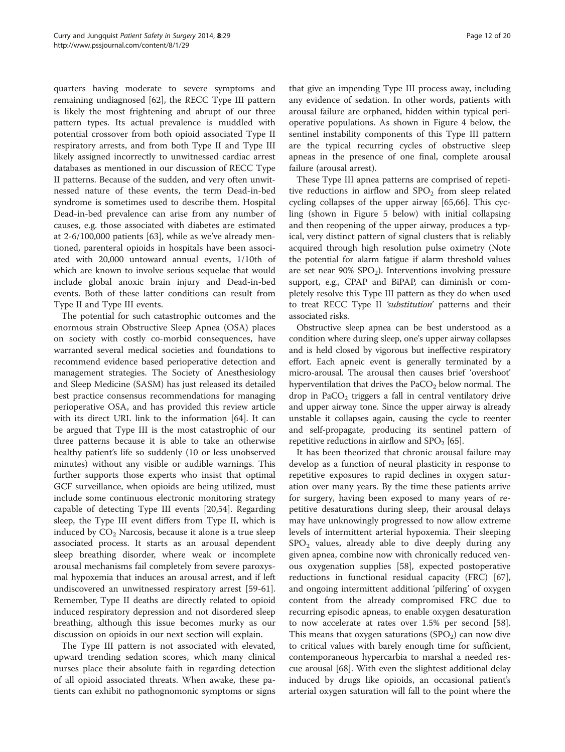quarters having moderate to severe symptoms and remaining undiagnosed [[62\]](#page-19-0), the RECC Type III pattern is likely the most frightening and abrupt of our three pattern types. Its actual prevalence is muddled with potential crossover from both opioid associated Type II respiratory arrests, and from both Type II and Type III likely assigned incorrectly to unwitnessed cardiac arrest databases as mentioned in our discussion of RECC Type II patterns. Because of the sudden, and very often unwitnessed nature of these events, the term Dead-in-bed syndrome is sometimes used to describe them. Hospital Dead-in-bed prevalence can arise from any number of causes, e.g. those associated with diabetes are estimated at 2-6/100,000 patients [\[63](#page-19-0)], while as we've already mentioned, parenteral opioids in hospitals have been associated with 20,000 untoward annual events, 1/10th of which are known to involve serious sequelae that would include global anoxic brain injury and Dead-in-bed events. Both of these latter conditions can result from Type II and Type III events.

The potential for such catastrophic outcomes and the enormous strain Obstructive Sleep Apnea (OSA) places on society with costly co-morbid consequences, have warranted several medical societies and foundations to recommend evidence based perioperative detection and management strategies. The Society of Anesthesiology and Sleep Medicine (SASM) has just released its detailed best practice consensus recommendations for managing perioperative OSA, and has provided this review article with its direct URL link to the information [[64\]](#page-19-0). It can be argued that Type III is the most catastrophic of our three patterns because it is able to take an otherwise healthy patient's life so suddenly (10 or less unobserved minutes) without any visible or audible warnings. This further supports those experts who insist that optimal GCF surveillance, when opioids are being utilized, must include some continuous electronic monitoring strategy capable of detecting Type III events [[20,](#page-18-0)[54\]](#page-19-0). Regarding sleep, the Type III event differs from Type II, which is induced by  $CO<sub>2</sub>$  Narcosis, because it alone is a true sleep associated process. It starts as an arousal dependent sleep breathing disorder, where weak or incomplete arousal mechanisms fail completely from severe paroxysmal hypoxemia that induces an arousal arrest, and if left undiscovered an unwitnessed respiratory arrest [[59-61](#page-19-0)]. Remember, Type II deaths are directly related to opioid induced respiratory depression and not disordered sleep breathing, although this issue becomes murky as our discussion on opioids in our next section will explain.

The Type III pattern is not associated with elevated, upward trending sedation scores, which many clinical nurses place their absolute faith in regarding detection of all opioid associated threats. When awake, these patients can exhibit no pathognomonic symptoms or signs that give an impending Type III process away, including any evidence of sedation. In other words, patients with arousal failure are orphaned, hidden within typical perioperative populations. As shown in Figure [4](#page-12-0) below, the sentinel instability components of this Type III pattern are the typical recurring cycles of obstructive sleep apneas in the presence of one final, complete arousal failure (arousal arrest).

These Type III apnea patterns are comprised of repetitive reductions in airflow and  $SPO<sub>2</sub>$  from sleep related cycling collapses of the upper airway [\[65,66](#page-19-0)]. This cycling (shown in Figure [5](#page-12-0) below) with initial collapsing and then reopening of the upper airway, produces a typical, very distinct pattern of signal clusters that is reliably acquired through high resolution pulse oximetry (Note the potential for alarm fatigue if alarm threshold values are set near  $90\%$  SPO<sub>2</sub>). Interventions involving pressure support, e.g., CPAP and BiPAP, can diminish or completely resolve this Type III pattern as they do when used to treat RECC Type II 'substitution' patterns and their associated risks.

Obstructive sleep apnea can be best understood as a condition where during sleep, one's upper airway collapses and is held closed by vigorous but ineffective respiratory effort. Each apneic event is generally terminated by a micro-arousal. The arousal then causes brief 'overshoot' hyperventilation that drives the  $PaCO<sub>2</sub>$  below normal. The drop in PaCO<sub>2</sub> triggers a fall in central ventilatory drive and upper airway tone. Since the upper airway is already unstable it collapses again, causing the cycle to reenter and self-propagate, producing its sentinel pattern of repetitive reductions in airflow and  $SPO<sub>2</sub>$  [\[65](#page-19-0)].

It has been theorized that chronic arousal failure may develop as a function of neural plasticity in response to repetitive exposures to rapid declines in oxygen saturation over many years. By the time these patients arrive for surgery, having been exposed to many years of repetitive desaturations during sleep, their arousal delays may have unknowingly progressed to now allow extreme levels of intermittent arterial hypoxemia. Their sleeping  $SPO<sub>2</sub>$  values, already able to dive deeply during any given apnea, combine now with chronically reduced venous oxygenation supplies [\[58](#page-19-0)], expected postoperative reductions in functional residual capacity (FRC) [\[67](#page-19-0)], and ongoing intermittent additional 'pilfering' of oxygen content from the already compromised FRC due to recurring episodic apneas, to enable oxygen desaturation to now accelerate at rates over 1.5% per second [\[58](#page-19-0)]. This means that oxygen saturations  $(SPO<sub>2</sub>)$  can now dive to critical values with barely enough time for sufficient, contemporaneous hypercarbia to marshal a needed rescue arousal [\[68](#page-19-0)]. With even the slightest additional delay induced by drugs like opioids, an occasional patient's arterial oxygen saturation will fall to the point where the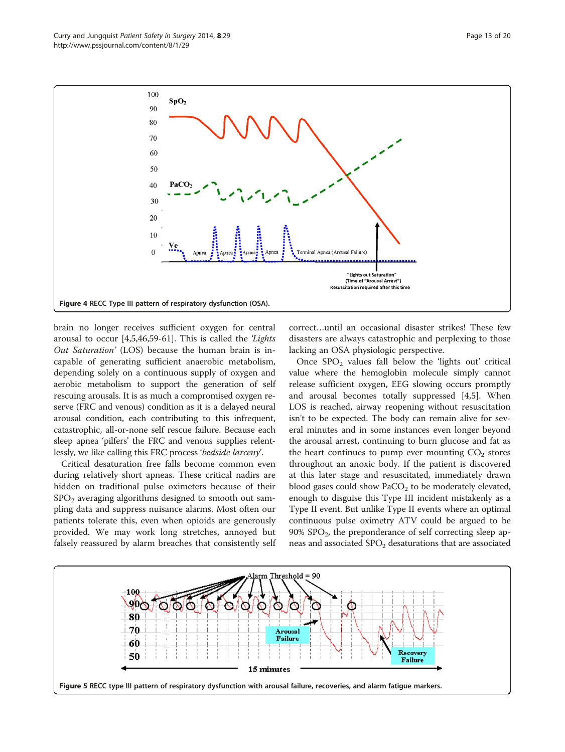<span id="page-12-0"></span>

brain no longer receives sufficient oxygen for central arousal to occur [\[4](#page-17-0)[,5,46](#page-18-0)[,59](#page-19-0)-[61\]](#page-19-0). This is called the 'Lights Out Saturation' (LOS) because the human brain is incapable of generating sufficient anaerobic metabolism, depending solely on a continuous supply of oxygen and aerobic metabolism to support the generation of self rescuing arousals. It is as much a compromised oxygen reserve (FRC and venous) condition as it is a delayed neural arousal condition, each contributing to this infrequent, catastrophic, all-or-none self rescue failure. Because each sleep apnea 'pilfers' the FRC and venous supplies relentlessly, we like calling this FRC process 'bedside larceny'.

Critical desaturation free falls become common even during relatively short apneas. These critical nadirs are hidden on traditional pulse oximeters because of their  $SPO<sub>2</sub>$  averaging algorithms designed to smooth out sampling data and suppress nuisance alarms. Most often our patients tolerate this, even when opioids are generously provided. We may work long stretches, annoyed but falsely reassured by alarm breaches that consistently self

correct…until an occasional disaster strikes! These few disasters are always catastrophic and perplexing to those lacking an OSA physiologic perspective.

Once  $SPO<sub>2</sub>$  values fall below the 'lights out' critical value where the hemoglobin molecule simply cannot release sufficient oxygen, EEG slowing occurs promptly and arousal becomes totally suppressed [[4,](#page-17-0)[5\]](#page-18-0). When LOS is reached, airway reopening without resuscitation isn't to be expected. The body can remain alive for several minutes and in some instances even longer beyond the arousal arrest, continuing to burn glucose and fat as the heart continues to pump ever mounting  $CO<sub>2</sub>$  stores throughout an anoxic body. If the patient is discovered at this later stage and resuscitated, immediately drawn blood gases could show  $PaCO<sub>2</sub>$  to be moderately elevated, enough to disguise this Type III incident mistakenly as a Type II event. But unlike Type II events where an optimal continuous pulse oximetry ATV could be argued to be 90%  $SPO<sub>2</sub>$ , the preponderance of self correcting sleep apneas and associated  $SPO<sub>2</sub>$  desaturations that are associated

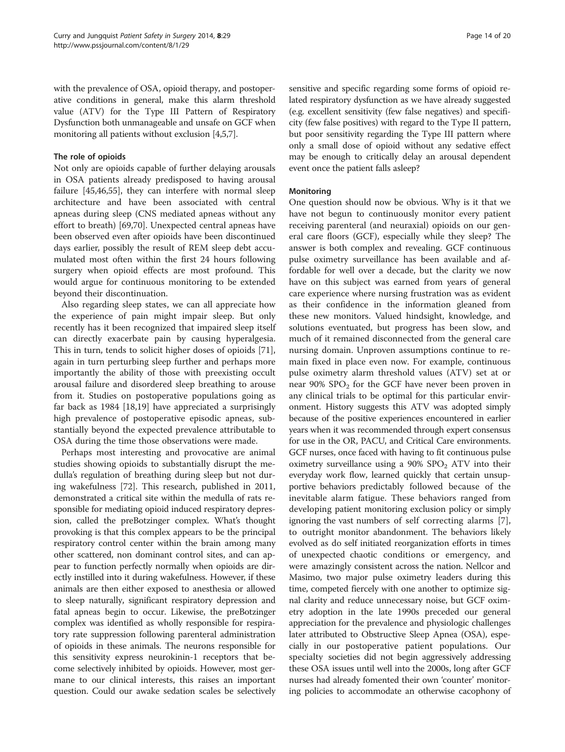with the prevalence of OSA, opioid therapy, and postoperative conditions in general, make this alarm threshold value (ATV) for the Type III Pattern of Respiratory Dysfunction both unmanageable and unsafe on GCF when monitoring all patients without exclusion [\[4](#page-17-0)[,5,7\]](#page-18-0).

# The role of opioids

Not only are opioids capable of further delaying arousals in OSA patients already predisposed to having arousal failure [\[45,46](#page-18-0)[,55\]](#page-19-0), they can interfere with normal sleep architecture and have been associated with central apneas during sleep (CNS mediated apneas without any effort to breath) [[69,70](#page-19-0)]. Unexpected central apneas have been observed even after opioids have been discontinued days earlier, possibly the result of REM sleep debt accumulated most often within the first 24 hours following surgery when opioid effects are most profound. This would argue for continuous monitoring to be extended beyond their discontinuation.

Also regarding sleep states, we can all appreciate how the experience of pain might impair sleep. But only recently has it been recognized that impaired sleep itself can directly exacerbate pain by causing hyperalgesia. This in turn, tends to solicit higher doses of opioids [\[71](#page-19-0)], again in turn perturbing sleep further and perhaps more importantly the ability of those with preexisting occult arousal failure and disordered sleep breathing to arouse from it. Studies on postoperative populations going as far back as 1984 [[18](#page-18-0),[19](#page-18-0)] have appreciated a surprisingly high prevalence of postoperative episodic apneas, substantially beyond the expected prevalence attributable to OSA during the time those observations were made.

Perhaps most interesting and provocative are animal studies showing opioids to substantially disrupt the medulla's regulation of breathing during sleep but not during wakefulness [[72\]](#page-19-0). This research, published in 2011, demonstrated a critical site within the medulla of rats responsible for mediating opioid induced respiratory depression, called the preBotzinger complex. What's thought provoking is that this complex appears to be the principal respiratory control center within the brain among many other scattered, non dominant control sites, and can appear to function perfectly normally when opioids are directly instilled into it during wakefulness. However, if these animals are then either exposed to anesthesia or allowed to sleep naturally, significant respiratory depression and fatal apneas begin to occur. Likewise, the preBotzinger complex was identified as wholly responsible for respiratory rate suppression following parenteral administration of opioids in these animals. The neurons responsible for this sensitivity express neurokinin-1 receptors that become selectively inhibited by opioids. However, most germane to our clinical interests, this raises an important question. Could our awake sedation scales be selectively

sensitive and specific regarding some forms of opioid related respiratory dysfunction as we have already suggested (e.g. excellent sensitivity (few false negatives) and specificity (few false positives) with regard to the Type II pattern, but poor sensitivity regarding the Type III pattern where only a small dose of opioid without any sedative effect may be enough to critically delay an arousal dependent event once the patient falls asleep?

## Monitoring

One question should now be obvious. Why is it that we have not begun to continuously monitor every patient receiving parenteral (and neuraxial) opioids on our general care floors (GCF), especially while they sleep? The answer is both complex and revealing. GCF continuous pulse oximetry surveillance has been available and affordable for well over a decade, but the clarity we now have on this subject was earned from years of general care experience where nursing frustration was as evident as their confidence in the information gleaned from these new monitors. Valued hindsight, knowledge, and solutions eventuated, but progress has been slow, and much of it remained disconnected from the general care nursing domain. Unproven assumptions continue to remain fixed in place even now. For example, continuous pulse oximetry alarm threshold values (ATV) set at or near  $90\%$  SPO<sub>2</sub> for the GCF have never been proven in any clinical trials to be optimal for this particular environment. History suggests this ATV was adopted simply because of the positive experiences encountered in earlier years when it was recommended through expert consensus for use in the OR, PACU, and Critical Care environments. GCF nurses, once faced with having to fit continuous pulse oximetry surveillance using a 90%  $SPO<sub>2</sub>$  ATV into their everyday work flow, learned quickly that certain unsupportive behaviors predictably followed because of the inevitable alarm fatigue. These behaviors ranged from developing patient monitoring exclusion policy or simply ignoring the vast numbers of self correcting alarms [\[7](#page-18-0)], to outright monitor abandonment. The behaviors likely evolved as do self initiated reorganization efforts in times of unexpected chaotic conditions or emergency, and were amazingly consistent across the nation. Nellcor and Masimo, two major pulse oximetry leaders during this time, competed fiercely with one another to optimize signal clarity and reduce unnecessary noise, but GCF oximetry adoption in the late 1990s preceded our general appreciation for the prevalence and physiologic challenges later attributed to Obstructive Sleep Apnea (OSA), especially in our postoperative patient populations. Our specialty societies did not begin aggressively addressing these OSA issues until well into the 2000s, long after GCF nurses had already fomented their own 'counter' monitoring policies to accommodate an otherwise cacophony of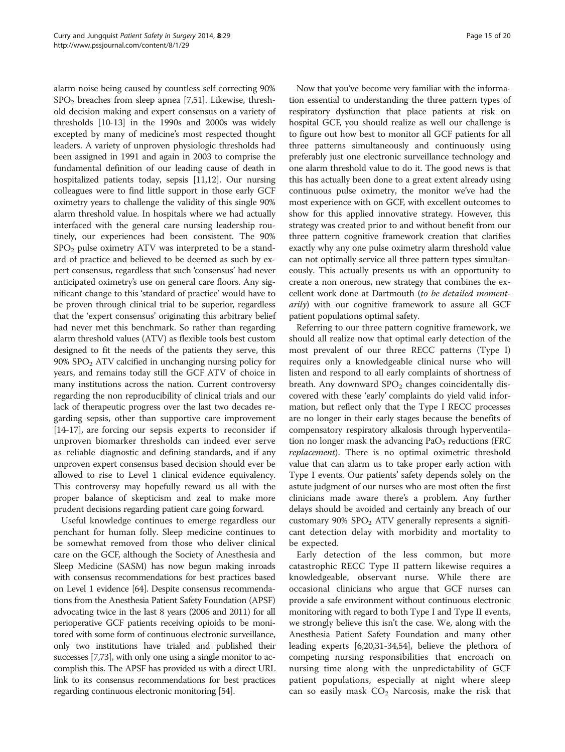alarm noise being caused by countless self correcting 90% SPO2 breaches from sleep apnea [[7,51](#page-18-0)]. Likewise, threshold decision making and expert consensus on a variety of thresholds [\[10](#page-18-0)-[13](#page-18-0)] in the 1990s and 2000s was widely excepted by many of medicine's most respected thought leaders. A variety of unproven physiologic thresholds had been assigned in 1991 and again in 2003 to comprise the fundamental definition of our leading cause of death in hospitalized patients today, sepsis [[11,12](#page-18-0)]. Our nursing colleagues were to find little support in those early GCF oximetry years to challenge the validity of this single 90% alarm threshold value. In hospitals where we had actually interfaced with the general care nursing leadership routinely, our experiences had been consistent. The 90%  $SPO<sub>2</sub>$  pulse oximetry ATV was interpreted to be a standard of practice and believed to be deemed as such by expert consensus, regardless that such 'consensus' had never anticipated oximetry's use on general care floors. Any significant change to this 'standard of practice' would have to be proven through clinical trial to be superior, regardless that the 'expert consensus' originating this arbitrary belief had never met this benchmark. So rather than regarding alarm threshold values (ATV) as flexible tools best custom designed to fit the needs of the patients they serve, this 90% SPO2 ATV calcified in unchanging nursing policy for years, and remains today still the GCF ATV of choice in many institutions across the nation. Current controversy regarding the non reproducibility of clinical trials and our lack of therapeutic progress over the last two decades regarding sepsis, other than supportive care improvement [[14](#page-18-0)-[17\]](#page-18-0), are forcing our sepsis experts to reconsider if unproven biomarker thresholds can indeed ever serve as reliable diagnostic and defining standards, and if any unproven expert consensus based decision should ever be allowed to rise to Level 1 clinical evidence equivalency. This controversy may hopefully reward us all with the proper balance of skepticism and zeal to make more prudent decisions regarding patient care going forward.

Useful knowledge continues to emerge regardless our penchant for human folly. Sleep medicine continues to be somewhat removed from those who deliver clinical care on the GCF, although the Society of Anesthesia and Sleep Medicine (SASM) has now begun making inroads with consensus recommendations for best practices based on Level 1 evidence [\[64](#page-19-0)]. Despite consensus recommendations from the Anesthesia Patient Safety Foundation (APSF) advocating twice in the last 8 years (2006 and 2011) for all perioperative GCF patients receiving opioids to be monitored with some form of continuous electronic surveillance, only two institutions have trialed and published their successes [[7](#page-18-0)[,73\]](#page-19-0), with only one using a single monitor to accomplish this. The APSF has provided us with a direct URL link to its consensus recommendations for best practices regarding continuous electronic monitoring [\[54\]](#page-19-0).

Now that you've become very familiar with the information essential to understanding the three pattern types of respiratory dysfunction that place patients at risk on hospital GCF, you should realize as well our challenge is to figure out how best to monitor all GCF patients for all three patterns simultaneously and continuously using preferably just one electronic surveillance technology and one alarm threshold value to do it. The good news is that this has actually been done to a great extent already using continuous pulse oximetry, the monitor we've had the most experience with on GCF, with excellent outcomes to show for this applied innovative strategy. However, this strategy was created prior to and without benefit from our three pattern cognitive framework creation that clarifies exactly why any one pulse oximetry alarm threshold value can not optimally service all three pattern types simultaneously. This actually presents us with an opportunity to create a non onerous, new strategy that combines the excellent work done at Dartmouth (to be detailed momentarily) with our cognitive framework to assure all GCF patient populations optimal safety.

Referring to our three pattern cognitive framework, we should all realize now that optimal early detection of the most prevalent of our three RECC patterns (Type I) requires only a knowledgeable clinical nurse who will listen and respond to all early complaints of shortness of breath. Any downward  $SPO<sub>2</sub>$  changes coincidentally discovered with these 'early' complaints do yield valid information, but reflect only that the Type I RECC processes are no longer in their early stages because the benefits of compensatory respiratory alkalosis through hyperventilation no longer mask the advancing  $PaO<sub>2</sub>$  reductions (FRC replacement). There is no optimal oximetric threshold value that can alarm us to take proper early action with Type I events. Our patients' safety depends solely on the astute judgment of our nurses who are most often the first clinicians made aware there's a problem. Any further delays should be avoided and certainly any breach of our customary 90%  $SPO<sub>2</sub>$  ATV generally represents a significant detection delay with morbidity and mortality to be expected.

Early detection of the less common, but more catastrophic RECC Type II pattern likewise requires a knowledgeable, observant nurse. While there are occasional clinicians who argue that GCF nurses can provide a safe environment without continuous electronic monitoring with regard to both Type I and Type II events, we strongly believe this isn't the case. We, along with the Anesthesia Patient Safety Foundation and many other leading experts [[6](#page-18-0),[20,31-34](#page-18-0)[,54\]](#page-19-0), believe the plethora of competing nursing responsibilities that encroach on nursing time along with the unpredictability of GCF patient populations, especially at night where sleep can so easily mask  $CO<sub>2</sub>$  Narcosis, make the risk that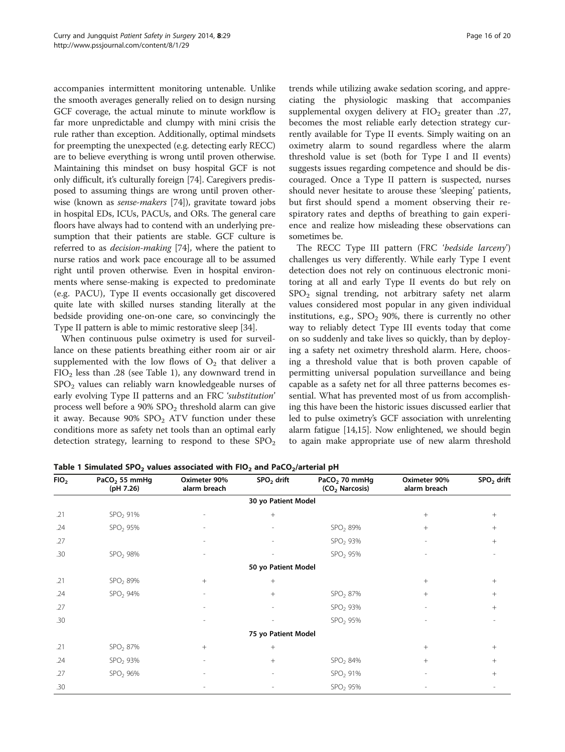<span id="page-15-0"></span>accompanies intermittent monitoring untenable. Unlike the smooth averages generally relied on to design nursing GCF coverage, the actual minute to minute workflow is far more unpredictable and clumpy with mini crisis the rule rather than exception. Additionally, optimal mindsets for preempting the unexpected (e.g. detecting early RECC) are to believe everything is wrong until proven otherwise. Maintaining this mindset on busy hospital GCF is not only difficult, it's culturally foreign [\[74\]](#page-19-0). Caregivers predisposed to assuming things are wrong until proven otherwise (known as sense-makers [[74](#page-19-0)]), gravitate toward jobs in hospital EDs, ICUs, PACUs, and ORs. The general care floors have always had to contend with an underlying presumption that their patients are stable. GCF culture is referred to as decision-making [\[74](#page-19-0)], where the patient to nurse ratios and work pace encourage all to be assumed right until proven otherwise. Even in hospital environments where sense-making is expected to predominate (e.g. PACU), Type II events occasionally get discovered quite late with skilled nurses standing literally at the bedside providing one-on-one care, so convincingly the Type II pattern is able to mimic restorative sleep [\[34](#page-18-0)].

When continuous pulse oximetry is used for surveillance on these patients breathing either room air or air supplemented with the low flows of  $O_2$  that deliver a  $FIO<sub>2</sub>$  less than .28 (see Table 1), any downward trend in SPO2 values can reliably warn knowledgeable nurses of early evolving Type II patterns and an FRC 'substitution' process well before a  $90\%$  SPO<sub>2</sub> threshold alarm can give it away. Because  $90\%$  SPO<sub>2</sub> ATV function under these conditions more as safety net tools than an optimal early detection strategy, learning to respond to these  $SPO<sub>2</sub>$  trends while utilizing awake sedation scoring, and appreciating the physiologic masking that accompanies supplemental oxygen delivery at  $FIO<sub>2</sub>$  greater than .27, becomes the most reliable early detection strategy currently available for Type II events. Simply waiting on an oximetry alarm to sound regardless where the alarm threshold value is set (both for Type I and II events) suggests issues regarding competence and should be discouraged. Once a Type II pattern is suspected, nurses should never hesitate to arouse these 'sleeping' patients, but first should spend a moment observing their respiratory rates and depths of breathing to gain experience and realize how misleading these observations can sometimes be.

The RECC Type III pattern (FRC 'bedside larceny') challenges us very differently. While early Type I event detection does not rely on continuous electronic monitoring at all and early Type II events do but rely on SPO2 signal trending, not arbitrary safety net alarm values considered most popular in any given individual institutions, e.g.,  $SPO<sub>2</sub>$  90%, there is currently no other way to reliably detect Type III events today that come on so suddenly and take lives so quickly, than by deploying a safety net oximetry threshold alarm. Here, choosing a threshold value that is both proven capable of permitting universal population surveillance and being capable as a safety net for all three patterns becomes essential. What has prevented most of us from accomplishing this have been the historic issues discussed earlier that led to pulse oximetry's GCF association with unrelenting alarm fatigue [\[14,15](#page-18-0)]. Now enlightened, we should begin to again make appropriate use of new alarm threshold

| FIO <sub>2</sub> | PaCO <sub>2</sub> 55 mmHg<br>(pH 7.26) | Oximeter 90%<br>alarm breach | SPO <sub>2</sub> drift | PaCO <sub>2</sub> 70 mmHg<br>(CO <sub>2</sub> Narcosis) | Oximeter 90%<br>alarm breach | SPO <sub>2</sub> drift |
|------------------|----------------------------------------|------------------------------|------------------------|---------------------------------------------------------|------------------------------|------------------------|
|                  |                                        |                              | 30 yo Patient Model    |                                                         |                              |                        |
| .21              | $SPO2$ 91%                             |                              | $^{+}$                 |                                                         | $^{+}$                       | $^{+}$                 |
| .24              | SPO <sub>2</sub> 95%                   |                              |                        | SPO <sub>2</sub> 89%                                    | $^{+}$                       | $^{+}$                 |
| .27              |                                        |                              |                        | SPO <sub>2</sub> 93%                                    |                              | $^{+}$                 |
| .30              | $SPO2$ 98%                             |                              |                        | SPO <sub>2</sub> 95%                                    |                              |                        |
|                  |                                        |                              | 50 yo Patient Model    |                                                         |                              |                        |
| .21              | SPO <sub>2</sub> 89%                   | $\! + \!\!\!\!$              | $^{+}$                 |                                                         | $^{+}$                       | $^{+}$                 |
| .24              | $SPO2$ 94%                             |                              | $^{+}$                 | SPO <sub>2</sub> 87%                                    | $^{+}$                       | $^+$                   |
| .27              |                                        |                              |                        | SPO <sub>2</sub> 93%                                    |                              | $^{+}$                 |
| .30              |                                        |                              |                        | SPO <sub>2</sub> 95%                                    |                              |                        |
|                  |                                        |                              | 75 yo Patient Model    |                                                         |                              |                        |
| .21              | SPO <sub>2</sub> 87%                   | $+$                          |                        |                                                         | $^{+}$                       | $^+$                   |
| .24              | SPO <sub>2</sub> 93%                   |                              | $^{+}$                 | SPO <sub>2</sub> 84%                                    | $^+$                         |                        |
| .27              | $SPO2$ 96%                             |                              |                        | SPO <sub>2</sub> 91%                                    |                              | $^{+}$                 |
| .30              |                                        |                              |                        | SPO <sub>2</sub> 95%                                    |                              |                        |

Table 1 Simulated SPO<sub>2</sub> values associated with FIO<sub>2</sub> and PaCO<sub>2</sub>/arterial pH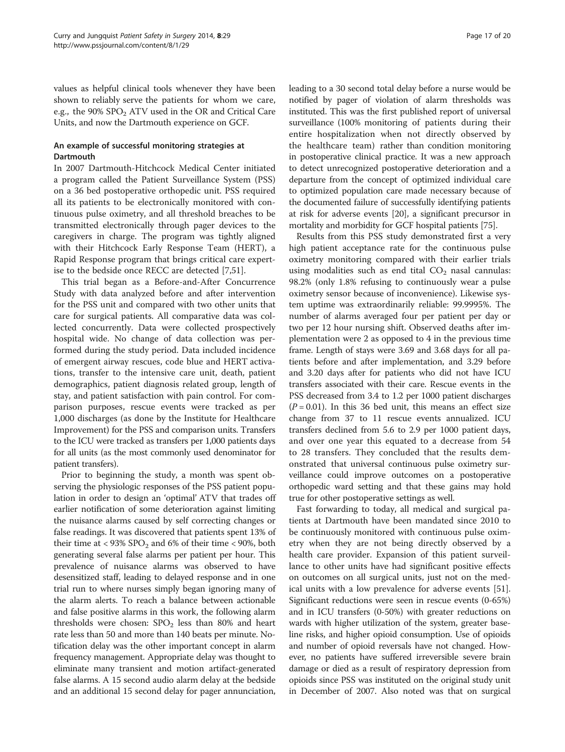values as helpful clinical tools whenever they have been shown to reliably serve the patients for whom we care, e.g., the 90%  $SPO<sub>2</sub>$  ATV used in the OR and Critical Care Units, and now the Dartmouth experience on GCF.

# An example of successful monitoring strategies at Dartmouth

In 2007 Dartmouth-Hitchcock Medical Center initiated a program called the Patient Surveillance System (PSS) on a 36 bed postoperative orthopedic unit. PSS required all its patients to be electronically monitored with continuous pulse oximetry, and all threshold breaches to be transmitted electronically through pager devices to the caregivers in charge. The program was tightly aligned with their Hitchcock Early Response Team (HERT), a Rapid Response program that brings critical care expertise to the bedside once RECC are detected [\[7,51\]](#page-18-0).

This trial began as a Before-and-After Concurrence Study with data analyzed before and after intervention for the PSS unit and compared with two other units that care for surgical patients. All comparative data was collected concurrently. Data were collected prospectively hospital wide. No change of data collection was performed during the study period. Data included incidence of emergent airway rescues, code blue and HERT activations, transfer to the intensive care unit, death, patient demographics, patient diagnosis related group, length of stay, and patient satisfaction with pain control. For comparison purposes, rescue events were tracked as per 1,000 discharges (as done by the Institute for Healthcare Improvement) for the PSS and comparison units. Transfers to the ICU were tracked as transfers per 1,000 patients days for all units (as the most commonly used denominator for patient transfers).

Prior to beginning the study, a month was spent observing the physiologic responses of the PSS patient population in order to design an 'optimal' ATV that trades off earlier notification of some deterioration against limiting the nuisance alarms caused by self correcting changes or false readings. It was discovered that patients spent 13% of their time at  $<\!93\!\%$   $\mathrm{SPO}_2$  and  $6\!\%$  of their time  $<\!90\!\%$  both generating several false alarms per patient per hour. This prevalence of nuisance alarms was observed to have desensitized staff, leading to delayed response and in one trial run to where nurses simply began ignoring many of the alarm alerts. To reach a balance between actionable and false positive alarms in this work, the following alarm thresholds were chosen:  $SPO<sub>2</sub>$  less than 80% and heart rate less than 50 and more than 140 beats per minute. Notification delay was the other important concept in alarm frequency management. Appropriate delay was thought to eliminate many transient and motion artifact-generated false alarms. A 15 second audio alarm delay at the bedside and an additional 15 second delay for pager annunciation, leading to a 30 second total delay before a nurse would be notified by pager of violation of alarm thresholds was instituted. This was the first published report of universal surveillance (100% monitoring of patients during their entire hospitalization when not directly observed by the healthcare team) rather than condition monitoring in postoperative clinical practice. It was a new approach to detect unrecognized postoperative deterioration and a departure from the concept of optimized individual care to optimized population care made necessary because of the documented failure of successfully identifying patients at risk for adverse events [\[20\]](#page-18-0), a significant precursor in mortality and morbidity for GCF hospital patients [[75\]](#page-19-0).

Results from this PSS study demonstrated first a very high patient acceptance rate for the continuous pulse oximetry monitoring compared with their earlier trials using modalities such as end tital  $CO<sub>2</sub>$  nasal cannulas: 98.2% (only 1.8% refusing to continuously wear a pulse oximetry sensor because of inconvenience). Likewise system uptime was extraordinarily reliable: 99.9995%. The number of alarms averaged four per patient per day or two per 12 hour nursing shift. Observed deaths after implementation were 2 as opposed to 4 in the previous time frame. Length of stays were 3.69 and 3.68 days for all patients before and after implementation, and 3.29 before and 3.20 days after for patients who did not have ICU transfers associated with their care. Rescue events in the PSS decreased from 3.4 to 1.2 per 1000 patient discharges  $(P = 0.01)$ . In this 36 bed unit, this means an effect size change from 37 to 11 rescue events annualized. ICU transfers declined from 5.6 to 2.9 per 1000 patient days, and over one year this equated to a decrease from 54 to 28 transfers. They concluded that the results demonstrated that universal continuous pulse oximetry surveillance could improve outcomes on a postoperative orthopedic ward setting and that these gains may hold true for other postoperative settings as well.

Fast forwarding to today, all medical and surgical patients at Dartmouth have been mandated since 2010 to be continuously monitored with continuous pulse oximetry when they are not being directly observed by a health care provider. Expansion of this patient surveillance to other units have had significant positive effects on outcomes on all surgical units, just not on the medical units with a low prevalence for adverse events [\[51](#page-18-0)]. Significant reductions were seen in rescue events (0-65%) and in ICU transfers (0-50%) with greater reductions on wards with higher utilization of the system, greater baseline risks, and higher opioid consumption. Use of opioids and number of opioid reversals have not changed. However, no patients have suffered irreversible severe brain damage or died as a result of respiratory depression from opioids since PSS was instituted on the original study unit in December of 2007. Also noted was that on surgical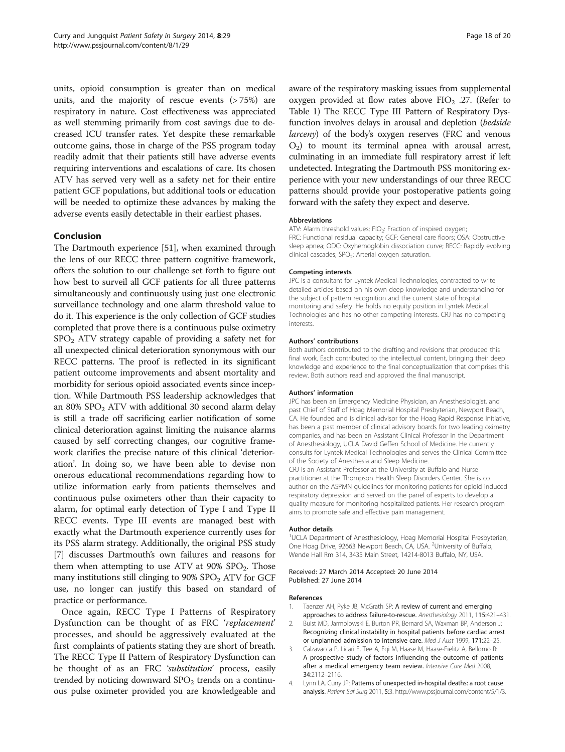<span id="page-17-0"></span>units, opioid consumption is greater than on medical units, and the majority of rescue events (> 75%) are respiratory in nature. Cost effectiveness was appreciated as well stemming primarily from cost savings due to decreased ICU transfer rates. Yet despite these remarkable outcome gains, those in charge of the PSS program today readily admit that their patients still have adverse events requiring interventions and escalations of care. Its chosen ATV has served very well as a safety net for their entire patient GCF populations, but additional tools or education will be needed to optimize these advances by making the adverse events easily detectable in their earliest phases.

# Conclusion

The Dartmouth experience [\[51\]](#page-18-0), when examined through the lens of our RECC three pattern cognitive framework, offers the solution to our challenge set forth to figure out how best to surveil all GCF patients for all three patterns simultaneously and continuously using just one electronic surveillance technology and one alarm threshold value to do it. This experience is the only collection of GCF studies completed that prove there is a continuous pulse oximetry  $SPO<sub>2</sub>$  ATV strategy capable of providing a safety net for all unexpected clinical deterioration synonymous with our RECC patterns. The proof is reflected in its significant patient outcome improvements and absent mortality and morbidity for serious opioid associated events since inception. While Dartmouth PSS leadership acknowledges that an 80%  $SPO<sub>2</sub>$  ATV with additional 30 second alarm delay is still a trade off sacrificing earlier notification of some clinical deterioration against limiting the nuisance alarms caused by self correcting changes, our cognitive framework clarifies the precise nature of this clinical 'deterioration'. In doing so, we have been able to devise non onerous educational recommendations regarding how to utilize information early from patients themselves and continuous pulse oximeters other than their capacity to alarm, for optimal early detection of Type I and Type II RECC events. Type III events are managed best with exactly what the Dartmouth experience currently uses for its PSS alarm strategy. Additionally, the original PSS study [[7\]](#page-18-0) discusses Dartmouth's own failures and reasons for them when attempting to use ATV at  $90\%$  SPO<sub>2</sub>. Those many institutions still clinging to 90%  $SPO<sub>2</sub>$  ATV for GCF use, no longer can justify this based on standard of practice or performance.

Once again, RECC Type I Patterns of Respiratory Dysfunction can be thought of as FRC 'replacement' processes, and should be aggressively evaluated at the first complaints of patients stating they are short of breath. The RECC Type II Pattern of Respiratory Dysfunction can be thought of as an FRC 'substitution' process, easily trended by noticing downward  $SPO<sub>2</sub>$  trends on a continuous pulse oximeter provided you are knowledgeable and aware of the respiratory masking issues from supplemental oxygen provided at flow rates above  $FIO<sub>2</sub>$  .27. (Refer to Table [1\)](#page-15-0) The RECC Type III Pattern of Respiratory Dysfunction involves delays in arousal and depletion (bedside *larceny*) of the body's oxygen reserves (FRC and venous  $O<sub>2</sub>$ ) to mount its terminal apnea with arousal arrest, culminating in an immediate full respiratory arrest if left undetected. Integrating the Dartmouth PSS monitoring experience with your new understandings of our three RECC patterns should provide your postoperative patients going forward with the safety they expect and deserve.

#### Abbreviations

ATV: Alarm threshold values; FIO<sub>2</sub>: Fraction of inspired oxygen; FRC: Functional residual capacity; GCF: General care floors; OSA: Obstructive sleep apnea; ODC: Oxyhemoglobin dissociation curve; RECC: Rapidly evolving clinical cascades; SPO<sub>2</sub>: Arterial oxygen saturation.

#### Competing interests

JPC is a consultant for Lyntek Medical Technologies, contracted to write detailed articles based on his own deep knowledge and understanding for the subject of pattern recognition and the current state of hospital monitoring and safety. He holds no equity position in Lyntek Medical Technologies and has no other competing interests. CRJ has no competing interests.

#### Authors' contributions

Both authors contributed to the drafting and revisions that produced this final work. Each contributed to the intellectual content, bringing their deep knowledge and experience to the final conceptualization that comprises this review. Both authors read and approved the final manuscript.

#### Authors' information

JPC has been an Emergency Medicine Physician, an Anesthesiologist, and past Chief of Staff of Hoag Memorial Hospital Presbyterian, Newport Beach, CA. He founded and is clinical advisor for the Hoag Rapid Response Initiative, has been a past member of clinical advisory boards for two leading oximetry companies, and has been an Assistant Clinical Professor in the Department of Anesthesiology, UCLA David Geffen School of Medicine. He currently consults for Lyntek Medical Technologies and serves the Clinical Committee of the Society of Anesthesia and Sleep Medicine. CRJ is an Assistant Professor at the University at Buffalo and Nurse practitioner at the Thompson Health Sleep Disorders Center. She is co

author on the ASPMN guidelines for monitoring patients for opioid induced respiratory depression and served on the panel of experts to develop a quality measure for monitoring hospitalized patients. Her research program aims to promote safe and effective pain management.

#### Author details

<sup>1</sup>UCLA Department of Anesthesiology, Hoag Memorial Hospital Presbyterian, One Hoag Drive, 92663 Newport Beach, CA, USA. <sup>2</sup>University of Buffalo Wende Hall Rm 314, 3435 Main Street, 14214-8013 Buffalo, NY, USA.

#### Received: 27 March 2014 Accepted: 20 June 2014 Published: 27 June 2014

#### References

- 1. Taenzer AH, Pyke JB, McGrath SP: A review of current and emerging approaches to address failure-to-rescue. Anesthesiology 2011, 115:421–431.
- Buist MD, Jarmolowski E, Burton PR, Bernard SA, Waxman BP, Anderson J: Recognizing clinical instability in hospital patients before cardiac arrest or unplanned admission to intensive care. Med J Aust 1999, 171:22–25.
- 3. Calzavacca P, Licari E, Tee A, Eqi M, Haase M, Haase-Fielitz A, Bellomo R: A prospective study of factors influencing the outcome of patients after a medical emergency team review. Intensive Care Med 2008, 34:2112–2116.
- 4. Lynn LA, Curry JP: Patterns of unexpected in-hospital deaths: a root cause analysis. Patient Saf Surg 2011, 5:3. [http://www.pssjournal.com/content/5/1/3.](http://www.pssjournal.com/content/5/1/3)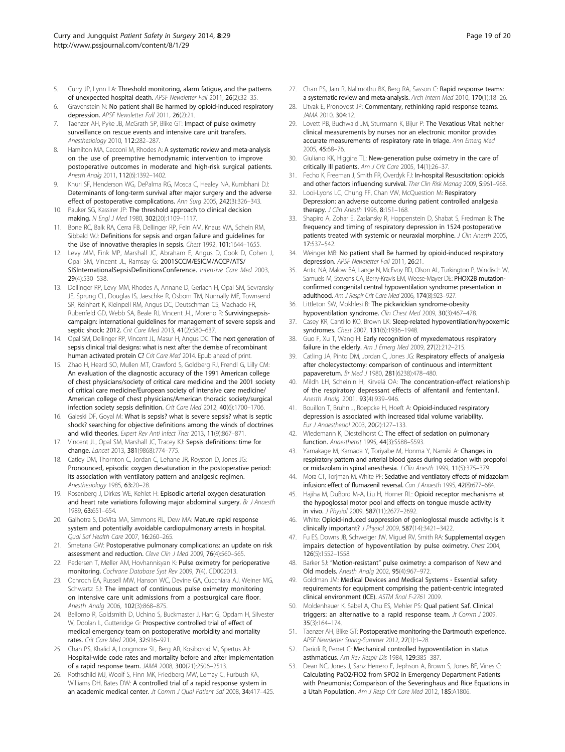- <span id="page-18-0"></span>5. Curry JP, Lynn LA: Threshold monitoring, alarm fatigue, and the patterns of unexpected hospital death. APSF Newsletter Fall 2011, 26(2):32–35.
- 6. Gravenstein N: No patient shall Be harmed by opioid-induced respiratory depression. APSF Newsletter Fall 2011, 26(2):21.
- 7. Taenzer AH, Pyke JB, McGrath SP, Blike GT: Impact of pulse oximetry surveillance on rescue events and intensive care unit transfers. Anesthesiology 2010, 112:282–287.
- 8. Hamilton MA, Cecconi M, Rhodes A: A systematic review and meta-analysis on the use of preemptive hemodynamic intervention to improve postoperative outcomes in moderate and high-risk surgical patients. Anesth Analg 2011, 112(6):1392–1402.
- 9. Khuri SF, Henderson WG, DePalma RG, Mosca C, Healey NA, Kumbhani DJ: Determinants of long-term survival after major surgery and the adverse effect of postoperative complications. Ann Surg 2005, 242(3):326–343.
- 10. Pauker SG, Kassirer JP: The threshold approach to clinical decision making. N Engl J Med 1980, 302(20):1109–1117.
- 11. Bone RC, Balk RA, Cerra FB, Dellinger RP, Fein AM, Knaus WA, Schein RM, Sibbald WJ: Definitions for sepsis and organ failure and guidelines for the Use of innovative therapies in sepsis. Chest 1992, 101:1644-1655.
- 12. Levy MM, Fink MP, Marshall JC, Abraham E, Angus D, Cook D, Cohen J, Opal SM, Vincent JL, Ramsay G: 2001SCCM/ESICM/ACCP/ATS/ SISInternationalSepsisDefinitionsConference. Intensive Care Med 2003, 29(4):530–538.
- 13. Dellinger RP, Levy MM, Rhodes A, Annane D, Gerlach H, Opal SM, Sevransky JE, Sprung CL, Douglas IS, Jaeschke R, Osborn TM, Nunnally ME, Townsend SR, Reinhart K, Kleinpell RM, Angus DC, Deutschman CS, Machado FR, Rubenfeld GD, Webb SA, Beale RJ, Vincent J-L, Moreno R: Survivingsepsiscampaign: international guidelines for management of severe sepsis and septic shock: 2012. Crit Care Med 2013, 41(2):580-637.
- 14. Opal SM, Dellinger RP, Vincent JL, Masur H, Angus DC: The next generation of sepsis clinical trial designs: what is next after the demise of recombinant human activated protein C? Crit Care Med 2014. Epub ahead of print.
- 15. Zhao H, Heard SO, Mullen MT, Crawford S, Goldberg RJ, Frendl G, Lilly CM: An evaluation of the diagnostic accuracy of the 1991 American college of chest physicians/society of critical care medicine and the 2001 society of critical care medicine/European society of intensive care medicine/ American college of chest physicians/American thoracic society/surgical infection society sepsis definition. Crit Care Med 2012, 40(6):1700–1706.
- 16. Gaieski DF, Goyal M: What is sepsis? what is severe sepsis? what is septic shock? searching for objective definitions among the winds of doctrines and wild theories. Expert Rev Anti Infect Ther 2013, 11(9):867–871.
- 17. Vincent JL, Opal SM, Marshall JC, Tracey KJ: Sepsis definitions: time for change. Lancet 2013, 381(9868):774–775.
- 18. Catley DM, Thornton C, Jordan C, Lehane JR, Royston D, Jones JG: Pronounced, episodic oxygen desaturation in the postoperative period: its association with ventilatory pattern and analgesic regimen. Anesthesiology 1985, 63:20–28.
- 19. Rosenberg J, Dirkes WE, Kehlet H: Episodic arterial oxygen desaturation and heart rate variations following major abdominal surgery. Br J Anaesth 1989, 63:651–654.
- 20. Galhotra S, DeVita MA, Simmons RL, Dew MA: Mature rapid response system and potentially avoidable cardiopulmonary arrests in hospital. Qual Saf Health Care 2007, 16:260–265.
- 21. Smetana GW: Postoperative pulmonary complications: an update on risk assessment and reduction. Cleve Clin J Med 2009, 76(4):560–565.
- 22. Pedersen T, Møller AM, Hovhannisyan K: Pulse oximetry for perioperative monitoring. Cochrane Database Syst Rev 2009, 7(4), CD002013.
- 23. Ochroch EA, Russell MW, Hanson WC, Devine GA, Cucchiara AJ, Weiner MG, Schwartz SJ: The impact of continuous pulse oximetry monitoring on intensive care unit admissions from a postsurgical care floor. Anesth Analg 2006, 102(3):868–875.
- 24. Bellomo R, Goldsmith D, Uchino S, Buckmaster J, Hart G, Opdam H, Silvester W, Doolan L, Gutteridge G: Prospective controlled trial of effect of medical emergency team on postoperative morbidity and mortality rates. Crit Care Med 2004, 32:916–921.
- 25. Chan PS, Khalid A, Longmore SL, Berg AR, Kosiborod M, Spertus AJ: Hospital-wide code rates and mortality before and after implementation of a rapid response team. JAMA 2008, 300(21):2506–2513.
- 26. Rothschild MJ, Woolf S, Finn MK, Friedberg MW, Lemay C, Furbush KA, Williams DH, Bates DW: A controlled trial of a rapid response system in an academic medical center. Jt Comm J Qual Patient Saf 2008, 34:417-425.
- 27. Chan PS, Jain R, Nallmothu BK, Berg RA, Sasson C: Rapid response teams: a systematic review and meta-analysis. Arch Intern Med 2010, 170(1):18–26.
- 28. Litvak E, Pronovost JP: Commentary, rethinking rapid response teams. JAMA 2010, 304:12.
- 29. Lovett PB, Buchwald JM, Sturmann K, Bijur P: The Vexatious Vital: neither clinical measurements by nurses nor an electronic monitor provides accurate measurements of respiratory rate in triage. Ann Emerg Med 2005, 45:68–76.
- 30. Giuliano KK, Higgins TL: New-generation pulse oximetry in the care of critically Ill patients. Am J Crit Care 2005, 14(1):26–37.
- 31. Fecho K, Freeman J, Smith FR, Overdyk FJ: In-hospital Resuscitation: opioids and other factors influencing survival. Ther Clin Risk Manag 2009, 5:961-968.
- 32. Looi-Lyons LC, Chung FF, Chan VW, McQuestion M: Respiratory Depression: an adverse outcome during patient controlled analgesia therapy. J Clin Anesth 1996, 8:151-168.
- 33. Shapiro A, Zohar E, Zaslansky R, Hoppenstein D, Shabat S, Fredman B: The frequency and timing of respiratory depression in 1524 postoperative patients treated with systemic or neuraxial morphine. J Clin Anesth 2005, 17:537–542.
- 34. Weinger MB: No patient shall Be harmed by opioid-induced respiratory depression. APSF Newsletter Fall 2011, 26:21.
- Antic NA, Malow BA, Lange N, McEvoy RD, Olson AL, Turkington P, Windisch W, Samuels M, Stevens CA, Berry-Kravis EM, Weese-Mayer DE: PHOX2B mutationconfirmed congenital central hypoventilation syndrome: presentation in adulthood. Am J Respir Crit Care Med 2006, 174(8):923–927.
- 36. Littleton SW, Mokhlesi B: The pickwickian syndrome-obesity hypoventilation syndrome. Clin Chest Med 2009, 30(3):467–478.
- 37. Casey KR, Cantillo KO, Brown LK: Sleep-related hypoventilation/hypoxemic syndromes. Chest 2007, 131(6):1936–1948.
- 38. Guo F, Xu T, Wang H: Early recognition of myxedematous respiratory failure in the elderly. Am J Emerg Med 2009, 27(2):212-215.
- 39. Catling JA, Pinto DM, Jordan C, Jones JG: Respiratory effects of analgesia after cholecystectomy: comparison of continuous and intermittent papaveretum. Br Med J 1980, 281(6238):478–480.
- 40. Mildh LH, Scheinin H, Kirvelä OA: The concentration-effect relationship of the respiratory depressant effects of alfentanil and fententanil. Anesth Analg 2001, 93(4):939–946.
- 41. Bouillon T, Bruhn J, Roepcke H, Hoeft A: Opioid-induced respiratory depression is associated with increased tidal volume variability. Eur J Anaesthesiol 2003, 20(2):127–133.
- 42. Wiedemann K, Diestelhorst C: The effect of sedation on pulmonary function. Anaesthetist 1995, 44(3):S588–S593.
- 43. Yamakage M, Kamada Y, Toriyabe M, Honma Y, Namiki A: Changes in respiratory pattern and arterial blood gases during sedation with propofol or midazolam in spinal anesthesia. J Clin Anesth 1999, 11(5):375-379.
- 44. Mora CT, Torjman M, White PF: Sedative and ventilatory effects of midazolam infusion: effect of flumazenil reversal. Can J Anaesth 1995, 42(8):677-684.
- 45. Hajiha M, DuBord M-A, Liu H, Horner RL: Opioid receptor mechanisms at the hypoglossal motor pool and effects on tongue muscle activity in vivo. J Physiol 2009, 587(11):2677–2692.
- 46. White: Opioid-induced suppression of genioglossal muscle activity: is it clinically important? J Physiol 2009, 587(14):3421–3422.
- 47. Fu ES, Downs JB, Schweiger JW, Miguel RV, Smith RA: Supplemental oxygen impairs detection of hypoventilation by pulse oximetry. Chest 2004, 126(5):1552–1558.
- 48. Barker SJ: "Motion-resistant" pulse oximetry: a comparison of New and Old models. Anesth Analg 2002, 95(4):967–972.
- 49. Goldman JM: Medical Devices and Medical Systems Essential safety requirements for equipment comprising the patient-centric integrated clinical environment (ICE). ASTM final F-2761 2009.
- 50. Moldenhauer K, Sabel A, Chu ES, Mehler PS: Qual patient Saf. Clinical triggers: an alternative to a rapid response team. Jt Comm J 2009, 35(3):164–174.
- 51. Taenzer AH, Blike GT: Postoperative monitoring-the Dartmouth experience. APSF Newsletter Spring-Summer 2012, 27(1):1–28.
- 52. Darioli R, Perret C: Mechanical controlled hypoventilation in status asthmaticus. Am Rev Respir Dis 1984, 129:385–387.
- 53. Dean NC, Jones J, Sanz Herrero F, Jephson A, Brown S, Jones BE, Vines C: Calculating PaO2/FIO2 from SPO2 in Emergency Department Patients with Pneumonia; Comparison of the Severinghaus and Rice Equations in a Utah Population. Am J Resp Crit Care Med 2012, 185:A1806.